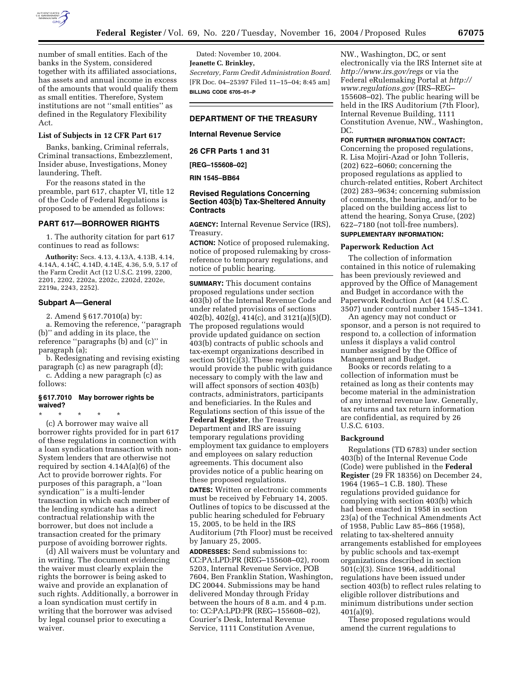

number of small entities. Each of the banks in the System, considered together with its affiliated associations, has assets and annual income in excess of the amounts that would qualify them as small entities. Therefore, System institutions are not ''small entities'' as defined in the Regulatory Flexibility Act.

### **List of Subjects in 12 CFR Part 617**

Banks, banking, Criminal referrals, Criminal transactions, Embezzlement, Insider abuse, Investigations, Money laundering, Theft.

For the reasons stated in the preamble, part 617, chapter VI, title 12 of the Code of Federal Regulations is proposed to be amended as follows:

### **PART 617—BORROWER RIGHTS**

1. The authority citation for part 617 continues to read as follows:

**Authority:** Secs. 4.13, 4.13A, 4.13B, 4.14, 4.14A, 4.14C, 4.14D, 4.14E, 4.36, 5.9, 5.17 of the Farm Credit Act (12 U.S.C. 2199, 2200, 2201, 2202, 2202a, 2202c, 2202d, 2202e, 2219a, 2243, 2252).

#### **Subpart A—General**

2. Amend § 617.7010(a) by:

a. Removing the reference, ''paragraph (b)'' and adding in its place, the reference ''paragraphs (b) and (c)'' in paragraph (a);

b. Redesignating and revising existing paragraph (c) as new paragraph (d);

c. Adding a new paragraph (c) as follows:

### **§ 617.7010 May borrower rights be waived?**

\* \* \* \* \* (c) A borrower may waive all borrower rights provided for in part 617 of these regulations in connection with a loan syndication transaction with non-System lenders that are otherwise not required by section 4.14A(a)(6) of the Act to provide borrower rights. For purposes of this paragraph, a ''loan syndication'' is a multi-lender transaction in which each member of the lending syndicate has a direct contractual relationship with the borrower, but does not include a transaction created for the primary purpose of avoiding borrower rights.

(d) All waivers must be voluntary and in writing. The document evidencing the waiver must clearly explain the rights the borrower is being asked to waive and provide an explanation of such rights. Additionally, a borrower in a loan syndication must certify in writing that the borrower was advised by legal counsel prior to executing a waiver.

Dated: November 10, 2004. **Jeanette C. Brinkley,**  *Secretary, Farm Credit Administration Board.* [FR Doc. 04–25397 Filed 11–15–04; 8:45 am] **BILLING CODE 6705–01–P**

# **DEPARTMENT OF THE TREASURY**

### **Internal Revenue Service**

**26 CFR Parts 1 and 31**

**[REG–155608–02]** 

#### **RIN 1545–BB64**

# **Revised Regulations Concerning Section 403(b) Tax-Sheltered Annuity Contracts**

**AGENCY:** Internal Revenue Service (IRS), Treasury.

**ACTION:** Notice of proposed rulemaking, notice of proposed rulemaking by crossreference to temporary regulations, and notice of public hearing.

**SUMMARY:** This document contains proposed regulations under section 403(b) of the Internal Revenue Code and under related provisions of sections  $402(b)$ ,  $402(g)$ ,  $414(c)$ , and  $3121(a)(5)(D)$ . The proposed regulations would provide updated guidance on section 403(b) contracts of public schools and tax-exempt organizations described in section 501(c)(3). These regulations would provide the public with guidance necessary to comply with the law and will affect sponsors of section 403(b) contracts, administrators, participants and beneficiaries. In the Rules and Regulations section of this issue of the **Federal Register**, the Treasury Department and IRS are issuing temporary regulations providing employment tax guidance to employers and employees on salary reduction agreements. This document also provides notice of a public hearing on these proposed regulations.

**DATES:** Written or electronic comments must be received by February 14, 2005. Outlines of topics to be discussed at the public hearing scheduled for February 15, 2005, to be held in the IRS Auditorium (7th Floor) must be received by January 25, 2005.

**ADDRESSES:** Send submissions to: CC:PA:LPD:PR (REG–155608–02), room 5203, Internal Revenue Service, POB 7604, Ben Franklin Station, Washington, DC 20044. Submissions may be hand delivered Monday through Friday between the hours of 8 a.m. and 4 p.m. to: CC:PA:LPD:PR (REG–155608–02), Courier's Desk, Internal Revenue Service, 1111 Constitution Avenue,

NW., Washington, DC, or sent electronically via the IRS Internet site at *http://www.irs.gov/regs* or via the Federal eRulemaking Portal at *http:// www.regulations.gov* (IRS–REG– 155608–02). The public hearing will be held in the IRS Auditorium (7th Floor), Internal Revenue Building, 1111 Constitution Avenue, NW., Washington, DC.

#### **FOR FURTHER INFORMATION CONTACT:**

Concerning the proposed regulations, R. Lisa Mojiri-Azad or John Tolleris, (202) 622–6060; concerning the proposed regulations as applied to church-related entities, Robert Architect (202) 283–9634; concerning submission of comments, the hearing, and/or to be placed on the building access list to attend the hearing, Sonya Cruse, (202) 622–7180 (not toll-free numbers).

# **SUPPLEMENTARY INFORMATION:**

# **Paperwork Reduction Act**

The collection of information contained in this notice of rulemaking has been previously reviewed and approved by the Office of Management and Budget in accordance with the Paperwork Reduction Act (44 U.S.C. 3507) under control number 1545–1341.

An agency may not conduct or sponsor, and a person is not required to respond to, a collection of information unless it displays a valid control number assigned by the Office of Management and Budget.

Books or records relating to a collection of information must be retained as long as their contents may become material in the administration of any internal revenue law. Generally, tax returns and tax return information are confidential, as required by 26 U.S.C. 6103.

#### **Background**

Regulations (TD 6783) under section 403(b) of the Internal Revenue Code (Code) were published in the **Federal Register** (29 FR 18356) on December 24, 1964 (1965–1 C.B. 180). These regulations provided guidance for complying with section 403(b) which had been enacted in 1958 in section 23(a) of the Technical Amendments Act of 1958, Public Law 85–866 (1958), relating to tax-sheltered annuity arrangements established for employees by public schools and tax-exempt organizations described in section 501(c)(3). Since 1964, additional regulations have been issued under section 403(b) to reflect rules relating to eligible rollover distributions and minimum distributions under section 401(a)(9).

These proposed regulations would amend the current regulations to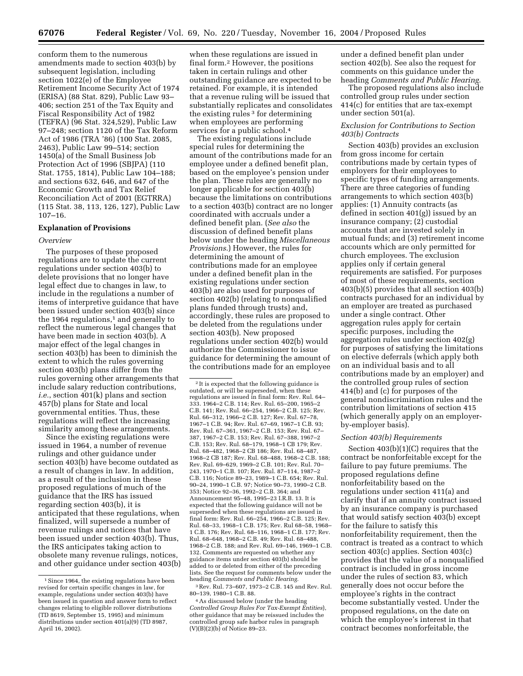conform them to the numerous amendments made to section 403(b) by subsequent legislation, including section 1022(e) of the Employee Retirement Income Security Act of 1974 (ERISA) (88 Stat. 829), Public Law 93– 406; section 251 of the Tax Equity and Fiscal Responsibility Act of 1982 (TEFRA) (96 Stat. 324,529), Public Law 97–248; section 1120 of the Tax Reform Act of 1986 (TRA '86) (100 Stat. 2085, 2463), Public Law 99–514; section 1450(a) of the Small Business Job Protection Act of 1996 (SBJPA) (110 Stat. 1755, 1814), Public Law 104–188; and sections 632, 646, and 647 of the Economic Growth and Tax Relief Reconciliation Act of 2001 (EGTRRA) (115 Stat. 38, 113, 126, 127), Public Law 107–16.

### **Explanation of Provisions**

#### *Overview*

The purposes of these proposed regulations are to update the current regulations under section 403(b) to delete provisions that no longer have legal effect due to changes in law, to include in the regulations a number of items of interpretive guidance that have been issued under section 403(b) since the 1964 regulations, $1$  and generally to reflect the numerous legal changes that have been made in section 403(b). A major effect of the legal changes in section 403(b) has been to diminish the extent to which the rules governing section 403(b) plans differ from the rules governing other arrangements that include salary reduction contributions, *i.e.*, section 401(k) plans and section 457(b) plans for State and local governmental entities. Thus, these regulations will reflect the increasing similarity among these arrangements.

Since the existing regulations were issued in 1964, a number of revenue rulings and other guidance under section 403(b) have become outdated as a result of changes in law. In addition, as a result of the inclusion in these proposed regulations of much of the guidance that the IRS has issued regarding section 403(b), it is anticipated that these regulations, when finalized, will supersede a number of revenue rulings and notices that have been issued under section 403(b). Thus, the IRS anticipates taking action to obsolete many revenue rulings, notices, and other guidance under section 403(b)

when these regulations are issued in final form.2 However, the positions taken in certain rulings and other outstanding guidance are expected to be retained. For example, it is intended that a revenue ruling will be issued that substantially replicates and consolidates the existing rules 3 for determining when employees are performing services for a public school.<sup>4</sup>

The existing regulations include special rules for determining the amount of the contributions made for an employee under a defined benefit plan, based on the employee's pension under the plan. These rules are generally no longer applicable for section 403(b) because the limitations on contributions to a section 403(b) contract are no longer coordinated with accruals under a defined benefit plan. (*See also* the discussion of defined benefit plans below under the heading *Miscellaneous Provisions*.) However, the rules for determining the amount of contributions made for an employee under a defined benefit plan in the existing regulations under section 403(b) are also used for purposes of section 402(b) (relating to nonqualified plans funded through trusts) and, accordingly, these rules are proposed to be deleted from the regulations under section 403(b). New proposed regulations under section 402(b) would authorize the Commissioner to issue guidance for determining the amount of the contributions made for an employee

 $^2\mathrm{It}$  is expected that the following guidance is outdated, or will be superseded, when these regulations are issued in final form: Rev. Rul. 64– 333. 1964–2 C.B. 114; Rev. Rul. 65–200, 1965–2 C.B. 141; Rev. Rul. 66–254, 1966–2 C.B. 125; Rev. Rul. 66–312, 1966–2 C.B. 127; Rev. Rul. 67–78, 1967–1 C.B. 94; Rev. Rul. 67–69, 1967–1 C.B. 93; Rev. Rul. 67–361, 1967–2 C.B. 153; Rev. Rul. 67– 387, 1967–2 C.B. 153; Rev. Rul. 67–388, 1967–2 C.B. 153; Rev. Rul. 68–179, 1968–1 CB 179; Rev. Rul. 68–482, 1968–2 CB 186; Rev. Rul. 68–487, 1968–2 CB 187; Rev. Rul. 68–488, 1968–2 C.B. 188; Rev. Rul. 69–629, 1969–2 C.B. 101; Rev. Rul. 70– 243, 1970–1 C.B. 107; Rev. Rul. 87–114, 1987–2 C.B. 116; Notice 89–23, 1989–1 C.B. 654; Rev. Rul. 90–24, 1990–1 C.B. 97; Notice 90–73, 1990–2 C.B. 353; Notice 92–36, 1992–2 C.B. 364; and Announcement 95–48, 1995–23 I.R.B. 13. It is expected that the following guidance will not be superseded when these regulations are issued in final form: Rev. Rul. 66–254, 1966–2 C.B. 125; Rev. Rul. 68–33, 1968–1 C.B. 175; Rev. Rul 68–58, 1968– 1 C.B. 176; Rev. Rul. 68–116, 1968–1 C.B. 177; Rev. Rul. 68–648, 1968–2 C.B. 49; Rev. Rul. 68–488, 1968–2 C.B. 188; and Rev. Rul. 69–146, 1969–1 C.B. 132. Comments are requested on whether any guidance items under section 403(b) should be added to or deleted from either of the preceding lists. See the request for comments below under the heading *Comments and Public Hearing.*

3Rev. Rul. 73–607, 1973–2 C.B. 145 and Rev. Rul. 80–139, 1980–1 C.B. 88.

4As discussed below (under the heading *Controlled Group Rules For Tax-Exempt Entities*), other guidance that may be reissued includes the controlled group safe harbor rules in paragraph  $(V)(B)(2)(b)$  of Notice 89–23.

under a defined benefit plan under section 402(b). See also the request for comments on this guidance under the heading *Comments and Public Hearing.*

The proposed regulations also include controlled group rules under section 414(c) for entities that are tax-exempt under section 501(a).

### *Exclusion for Contributions to Section 403(b) Contracts*

Section 403(b) provides an exclusion from gross income for certain contributions made by certain types of employers for their employees to specific types of funding arrangements. There are three categories of funding arrangements to which section 403(b) applies: (1) Annuity contracts (as defined in section 401(g)) issued by an insurance company; (2) custodial accounts that are invested solely in mutual funds; and (3) retirement income accounts which are only permitted for church employees. The exclusion applies only if certain general requirements are satisfied. For purposes of most of these requirements, section 403(b)(5) provides that all section 403(b) contracts purchased for an individual by an employer are treated as purchased under a single contract. Other aggregation rules apply for certain specific purposes, including the aggregation rules under section 402(g) for purposes of satisfying the limitations on elective deferrals (which apply both on an individual basis and to all contributions made by an employer) and the controlled group rules of section 414(b) and (c) for purposes of the general nondiscrimination rules and the contribution limitations of section 415 (which generally apply on an employerby-employer basis).

#### *Section 403(b) Requirements*

Section 403(b)(1)(C) requires that the contract be nonforfeitable except for the failure to pay future premiums. The proposed regulations define nonforfeitability based on the regulations under section 411(a) and clarify that if an annuity contract issued by an insurance company is purchased that would satisfy section 403(b) except for the failure to satisfy this nonforfeitability requirement, then the contract is treated as a contract to which section 403(c) applies. Section 403(c) provides that the value of a nonqualified contract is included in gross income under the rules of section 83, which generally does not occur before the employee's rights in the contract become substantially vested. Under the proposed regulations, on the date on which the employee's interest in that contract becomes nonforfeitable, the

<sup>1</sup>Since 1964, the existing regulations have been revised for certain specific changes in law, for example, regulations under section 403(b) have been issued in question and answer form to reflect changes relating to eligible rollover distributions (TD 8619, September 15, 1995) and minimum distributions under section 401(a)(9) (TD 8987, April 16, 2002).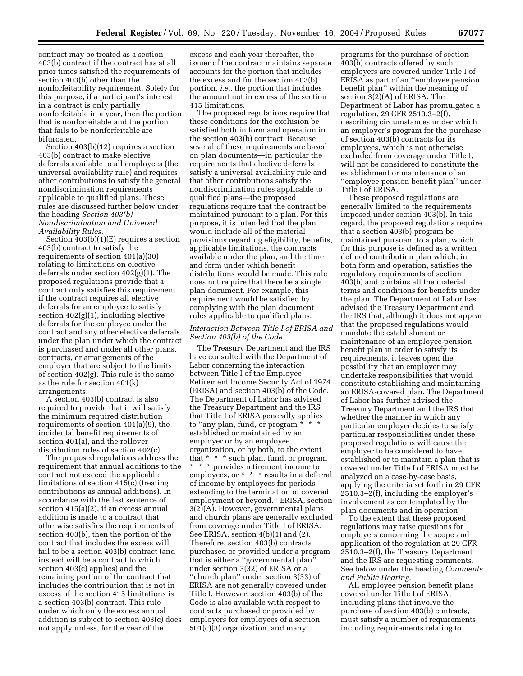contract may be treated as a section 403(b) contract if the contract has at all prior times satisfied the requirements of section 403(b) other than the nonforfeitability requirement. Solely for this purpose, if a participant's interest in a contract is only partially nonforfeitable in a year, then the portion that is nonforfeitable and the portion that fails to be nonforfeitable are bifurcated.

Section 403(b)(12) requires a section 403(b) contract to make elective deferrals available to all employees (the universal availability rule) and requires other contributions to satisfy the general nondiscrimination requirements applicable to qualified plans. These rules are discussed further below under the heading *Section 403(b) Nondiscrimination and Universal Availability Rules.*

Section 403(b)(1)(E) requires a section 403(b) contract to satisfy the requirements of section 401(a)(30) relating to limitations on elective deferrals under section 402(g)(1). The proposed regulations provide that a contract only satisfies this requirement if the contract requires all elective deferrals for an employee to satisfy section 402(g)(1), including elective deferrals for the employee under the contract and any other elective deferrals under the plan under which the contract is purchased and under all other plans, contracts, or arrangements of the employer that are subject to the limits of section 402(g). This rule is the same as the rule for section 401(k) arrangements.

A section 403(b) contract is also required to provide that it will satisfy the minimum required distribution requirements of section 401(a)(9), the incidental benefit requirements of section 401(a), and the rollover distribution rules of section 402(c).

The proposed regulations address the requirement that annual additions to the contract not exceed the applicable limitations of section 415(c) (treating contributions as annual additions). In accordance with the last sentence of section 415(a)(2), if an excess annual addition is made to a contract that otherwise satisfies the requirements of section 403(b), then the portion of the contract that includes the excess will fail to be a section 403(b) contract (and instead will be a contract to which section 403(c) applies) and the remaining portion of the contract that includes the contribution that is not in excess of the section 415 limitations is a section 403(b) contract. This rule under which only the excess annual addition is subject to section 403(c) does not apply unless, for the year of the

excess and each year thereafter, the issuer of the contract maintains separate accounts for the portion that includes the excess and for the section 403(b) portion, *i.e.*, the portion that includes the amount not in excess of the section 415 limitations.

The proposed regulations require that these conditions for the exclusion be satisfied both in form and operation in the section 403(b) contract. Because several of these requirements are based on plan documents—in particular the requirements that elective deferrals satisfy a universal availability rule and that other contributions satisfy the nondiscrimination rules applicable to qualified plans—the proposed regulations require that the contract be maintained pursuant to a plan. For this purpose, it is intended that the plan would include all of the material provisions regarding eligibility, benefits, applicable limitations, the contracts available under the plan, and the time and form under which benefit distributions would be made. This rule does not require that there be a single plan document. For example, this requirement would be satisfied by complying with the plan document rules applicable to qualified plans.

### *Interaction Between Title I of ERISA and Section 403(b) of the Code*

The Treasury Department and the IRS have consulted with the Department of Labor concerning the interaction between Title I of the Employee Retirement Income Security Act of 1974 (ERISA) and section 403(b) of the Code. The Department of Labor has advised the Treasury Department and the IRS that Title I of ERISA generally applies to "any plan, fund, or program  $*$ established or maintained by an employer or by an employee organization, or by both, to the extent that \* \* \* such plan, fund, or program \* \* \* provides retirement income to employees, or \* \* \* results in a deferral of income by employees for periods extending to the termination of covered employment or beyond.'' ERISA, section 3(2)(A). However, governmental plans and church plans are generally excluded from coverage under Title I of ERISA. See ERISA, section 4(b)(1) and (2). Therefore, section 403(b) contracts purchased or provided under a program that is either a ''governmental plan'' under section 3(32) of ERISA or a ''church plan'' under section 3(33) of ERISA are not generally covered under Title I. However, section 403(b) of the Code is also available with respect to contracts purchased or provided by employers for employees of a section 501(c)(3) organization, and many

programs for the purchase of section 403(b) contracts offered by such employers are covered under Title I of ERISA as part of an ''employee pension benefit plan'' within the meaning of section 3(2)(A) of ERISA. The Department of Labor has promulgated a regulation, 29 CFR 2510.3–2(f), describing circumstances under which an employer's program for the purchase of section 403(b) contracts for its employees, which is not otherwise excluded from coverage under Title I, will not be considered to constitute the establishment or maintenance of an ''employee pension benefit plan'' under Title I of ERISA.

These proposed regulations are generally limited to the requirements imposed under section 403(b). In this regard, the proposed regulations require that a section 403(b) program be maintained pursuant to a plan, which for this purpose is defined as a written defined contribution plan which, in both form and operation, satisfies the regulatory requirements of section 403(b) and contains all the material terms and conditions for benefits under the plan. The Department of Labor has advised the Treasury Department and the IRS that, although it does not appear that the proposed regulations would mandate the establishment or maintenance of an employee pension benefit plan in order to satisfy its requirements, it leaves open the possibility that an employer may undertake responsibilities that would constitute establishing and maintaining an ERISA-covered plan. The Department of Labor has further advised the Treasury Department and the IRS that whether the manner in which any particular employer decides to satisfy particular responsibilities under these proposed regulations will cause the employer to be considered to have established or to maintain a plan that is covered under Title I of ERISA must be analyzed on a case-by-case basis, applying the criteria set forth in 29 CFR 2510.3–2(f), including the employer's involvement as contemplated by the plan documents and in operation.

To the extent that these proposed regulations may raise questions for employers concerning the scope and application of the regulation at 29 CFR 2510.3–2(f), the Treasury Department and the IRS are requesting comments. See below under the heading *Comments and Public Hearing.*

All employee pension benefit plans covered under Title I of ERISA, including plans that involve the purchase of section 403(b) contracts, must satisfy a number of requirements, including requirements relating to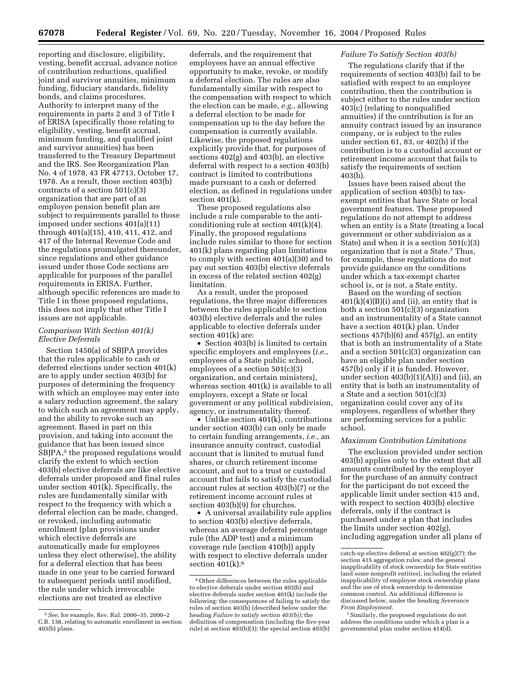reporting and disclosure, eligibility, vesting, benefit accrual, advance notice of contribution reductions, qualified joint and survivor annuities, minimum funding, fiduciary standards, fidelity bonds, and claims procedures. Authority to interpret many of the requirements in parts 2 and 3 of Title I of ERISA (specifically those relating to eligibility, vesting, benefit accrual, minimum funding, and qualified joint and survivor annuities) has been transferred to the Treasury Department and the IRS. See Reorganization Plan No. 4 of 1978, 43 FR 47713, October 17, 1978. As a result, those section 403(b) contracts of a section 501(c)(3) organization that are part of an employee pension benefit plan are subject to requirements parallel to those imposed under sections 401(a)(11) through 401(a)(15), 410, 411, 412, and 417 of the Internal Revenue Code and the regulations promulgated thereunder, since regulations and other guidance issued under those Code sections are applicable for purposes of the parallel requirements in ERISA. Further, although specific references are made to Title I in these proposed regulations, this does not imply that other Title I issues are not applicable.

### *Comparison With Section 401(k) Elective Deferrals*

Section 1450(a) of SBJPA provides that the rules applicable to cash or deferred elections under section 401(k) are to apply under section 403(b) for purposes of determining the frequency with which an employee may enter into a salary reduction agreement, the salary to which such an agreement may apply, and the ability to revoke such an agreement. Based in part on this provision, and taking into account the guidance that has been issued since SBJPA,<sup>5</sup> the proposed regulations would clarify the extent to which section 403(b) elective deferrals are like elective deferrals under proposed and final rules under section  $401(k)$ . Specifically, the rules are fundamentally similar with respect to the frequency with which a deferral election can be made, changed, or revoked, including automatic enrollment (plan provisions under which elective deferrals are automatically made for employees unless they elect otherwise), the ability for a deferral election that has been made in one year to be carried forward to subsequent periods until modified, the rule under which irrevocable elections are not treated as elective

deferrals, and the requirement that employees have an annual effective opportunity to make, revoke, or modify a deferral election. The rules are also fundamentally similar with respect to the compensation with respect to which the election can be made, *e.g.,* allowing a deferral election to be made for compensation up to the day before the compensation is currently available. Likewise, the proposed regulations explicitly provide that, for purposes of sections 402(g) and 403(b), an elective deferral with respect to a section 403(b) contract is limited to contributions made pursuant to a cash or deferred election, as defined in regulations under section 401(k).

These proposed regulations also include a rule comparable to the anticonditioning rule at section 401(k)(4). Finally, the proposed regulations include rules similar to those for section 401(k) plans regarding plan limitations to comply with section 401(a)(30) and to pay out section 403(b) elective deferrals in excess of the related section 402(g) limitation.

As a result, under the proposed regulations, the three major differences between the rules applicable to section 403(b) elective deferrals and the rules applicable to elective deferrals under section 401(k) are:

• Section 403(b) is limited to certain specific employers and employees (*i.e.*, employees of a State public school, employees of a section 501(c)(3) organization, and certain ministers), whereas section 401(k) is available to all employers, except a State or local government or any political subdivision, agency, or instrumentality thereof.

• Unlike section 401(k), contributions under section 403(b) can only be made to certain funding arrangements, *i.e.,* an insurance annuity contract, custodial account that is limited to mutual fund shares, or church retirement income account, and not to a trust or custodial account that fails to satisfy the custodial account rules at section 403(b)(7) or the retirement income account rules at section 403(b)(9) for churches.

• A universal availability rule applies to section 403(b) elective deferrals, whereas an average deferral percentage rule (the ADP test) and a minimum coverage rule (section 410(b)) apply with respect to elective deferrals under section  $401(k).<sup>6</sup>$ 

# *Failure To Satisfy Section 403(b)*

The regulations clarify that if the requirements of section 403(b) fail to be satisfied with respect to an employer contribution, then the contribution is subject either to the rules under section 403(c) (relating to nonqualified annuities) if the contribution is for an annuity contract issued by an insurance company, or is subject to the rules under section 61, 83, or 402(b) if the contribution is to a custodial account or retirement income account that fails to satisfy the requirements of section 403(b).

Issues have been raised about the application of section 403(b) to taxexempt entities that have State or local government features. These proposed regulations do not attempt to address when an entity is a State (treating a local government or other subdivision as a State) and when it is a section 501(c)(3) organization that is not a State.7 Thus, for example, these regulations do not provide guidance on the conditions under which a tax-exempt charter school is, or is not, a State entity.

Based on the wording of section  $401(k)(4)(B)(i)$  and (ii), an entity that is both a section 501(c)(3) organization and an instrumentality of a State cannot have a section 401(k) plan. Under sections  $457(b)(6)$  and  $457(g)$ , an entity that is both an instrumentality of a State and a section 501(c)(3) organization can have an eligible plan under section 457(b) only if it is funded. However, under section  $403(b)(1)(A)(i)$  and (ii), an entity that is both an instrumentality of a State and a section 501(c)(3) organization could cover any of its employees, regardless of whether they are performing services for a public school.

#### *Maximum Contribution Limitations*

The exclusion provided under section 403(b) applies only to the extent that all amounts contributed by the employer for the purchase of an annuity contract for the participant do not exceed the applicable limit under section 415 and, with respect to section 403(b) elective deferrals, only if the contract is purchased under a plan that includes the limits under section 402(g), including aggregation under all plans of

<sup>5</sup>*See,* for example, Rev. Rul. 2000–35, 2000–2 C.B. 138, relating to automatic enrollment in section 403(b) plans.

<sup>6</sup>Other differences between the rules applicable to elective deferrals under section 403(b) and elective deferrals under section 401(k) include the following: the consequences of failing to satisfy the rules of section 403(b) (described below under the heading *Failure to satisfy section 403(b));* the definition of compensation (including the five-year rule) at section 403(b)(3); the special section 403(b)

catch-up elective deferral at section 402(g)(7); the section 415 aggregation rules; and the general inapplicability of stock ownership for State entities (and some nonprofit entities), including the related inapplicability of employee stock ownership plans and the use of stock ownership to determine common control. An additional difference is discussed below, under the heading *Severance From Employment.*

<sup>7</sup>Similarly, the proposed regulations do not address the conditions under which a plan is a governmental plan under section 414(d).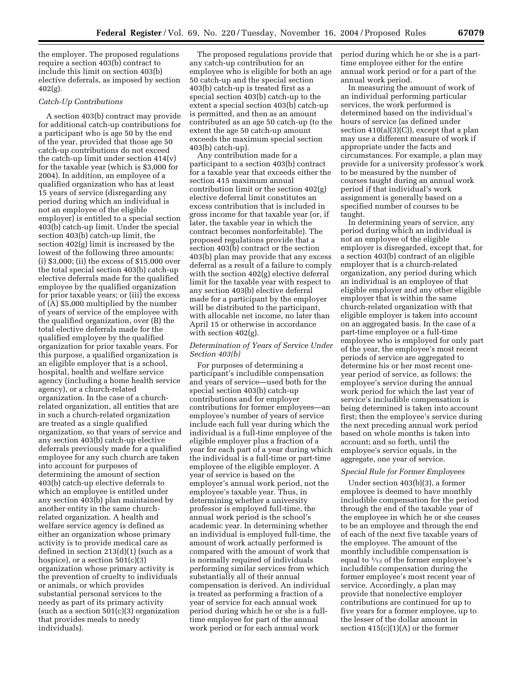the employer. The proposed regulations require a section 403(b) contract to include this limit on section 403(b) elective deferrals, as imposed by section 402(g).

### *Catch-Up Contributions*

A section 403(b) contract may provide for additional catch-up contributions for a participant who is age 50 by the end of the year, provided that those age 50 catch-up contributions do not exceed the catch-up limit under section 414(v) for the taxable year (which is \$3,000 for 2004). In addition, an employee of a qualified organization who has at least 15 years of service (disregarding any period during which an individual is not an employee of the eligible employer) is entitled to a special section 403(b) catch-up limit. Under the special section 403(b) catch-up limit, the section 402(g) limit is increased by the lowest of the following three amounts: (i) \$3,000; (ii) the excess of \$15,000 over the total special section 403(b) catch-up elective deferrals made for the qualified employee by the qualified organization for prior taxable years; or (iii) the excess of (A) \$5,000 multiplied by the number of years of service of the employee with the qualified organization, over (B) the total elective deferrals made for the qualified employee by the qualified organization for prior taxable years. For this purpose, a qualified organization is an eligible employer that is a school, hospital, health and welfare service agency (including a home health service agency), or a church-related organization. In the case of a churchrelated organization, all entities that are in such a church-related organization are treated as a single qualified organization, so that years of service and any section 403(b) catch-up elective deferrals previously made for a qualified employee for any such church are taken into account for purposes of determining the amount of section 403(b) catch-up elective deferrals to which an employee is entitled under any section 403(b) plan maintained by another entity in the same churchrelated organization. A health and welfare service agency is defined as either an organization whose primary activity is to provide medical care as defined in section 213(d)(1) (such as a hospice), or a section 501(c)(3) organization whose primary activity is the prevention of cruelty to individuals or animals, or which provides substantial personal services to the needy as part of its primary activity (such as a section  $501(c)(3)$  organization that provides meals to needy individuals).

The proposed regulations provide that any catch-up contribution for an employee who is eligible for both an age 50 catch-up and the special section 403(b) catch-up is treated first as a special section 403(b) catch-up to the extent a special section 403(b) catch-up is permitted, and then as an amount contributed as an age 50 catch-up (to the extent the age 50 catch-up amount exceeds the maximum special section 403(b) catch-up).

Any contribution made for a participant to a section 403(b) contract for a taxable year that exceeds either the section 415 maximum annual contribution limit or the section 402(g) elective deferral limit constitutes an excess contribution that is included in gross income for that taxable year (or, if later, the taxable year in which the contract becomes nonforfeitable). The proposed regulations provide that a section 403(b) contract or the section 403(b) plan may provide that any excess deferral as a result of a failure to comply with the section 402(g) elective deferral limit for the taxable year with respect to any section 403(b) elective deferral made for a participant by the employer will be distributed to the participant, with allocable net income, no later than April 15 or otherwise in accordance with section 402(g).

### *Determination of Years of Service Under Section 403(b)*

For purposes of determining a participant's includible compensation and years of service—used both for the special section 403(b) catch-up contributions and for employer contributions for former employees—an employee's number of years of service include each full year during which the individual is a full-time employee of the eligible employer plus a fraction of a year for each part of a year during which the individual is a full-time or part-time employee of the eligible employer. A year of service is based on the employer's annual work period, not the employee's taxable year. Thus, in determining whether a university professor is employed full-time, the annual work period is the school's academic year. In determining whether an individual is employed full-time, the amount of work actually performed is compared with the amount of work that is normally required of individuals performing similar services from which substantially all of their annual compensation is derived. An individual is treated as performing a fraction of a year of service for each annual work period during which he or she is a fulltime employee for part of the annual work period or for each annual work

period during which he or she is a parttime employee either for the entire annual work period or for a part of the annual work period.

In measuring the amount of work of an individual performing particular services, the work performed is determined based on the individual's hours of service (as defined under section  $410(a)(3)(C)$ , except that a plan may use a different measure of work if appropriate under the facts and circumstances. For example, a plan may provide for a university professor's work to be measured by the number of courses taught during an annual work period if that individual's work assignment is generally based on a specified number of courses to be taught.

In determining years of service, any period during which an individual is not an employee of the eligible employer is disregarded, except that, for a section 403(b) contract of an eligible employer that is a church-related organization, any period during which an individual is an employee of that eligible employer and any other eligible employer that is within the same church-related organization with that eligible employer is taken into account on an aggregated basis. In the case of a part-time employee or a full-time employee who is employed for only part of the year, the employee's most recent periods of service are aggregated to determine his or her most recent oneyear period of service, as follows: the employee's service during the annual work period for which the last year of service's includible compensation is being determined is taken into account first; then the employee's service during the next preceding annual work period based on whole months is taken into account; and so forth, until the employee's service equals, in the aggregate, one year of service.

### *Special Rule for Former Employees*

Under section 403(b)(3), a former employee is deemed to have monthly includible compensation for the period through the end of the taxable year of the employee in which he or she ceases to be an employee and through the end of each of the next five taxable years of the employee. The amount of the monthly includible compensation is equal to  $\frac{1}{12}$  of the former employee's includible compensation during the former employee's most recent year of service. Accordingly, a plan may provide that nonelective employer contributions are continued for up to five years for a former employee, up to the lesser of the dollar amount in section  $415(c)(1)(A)$  or the former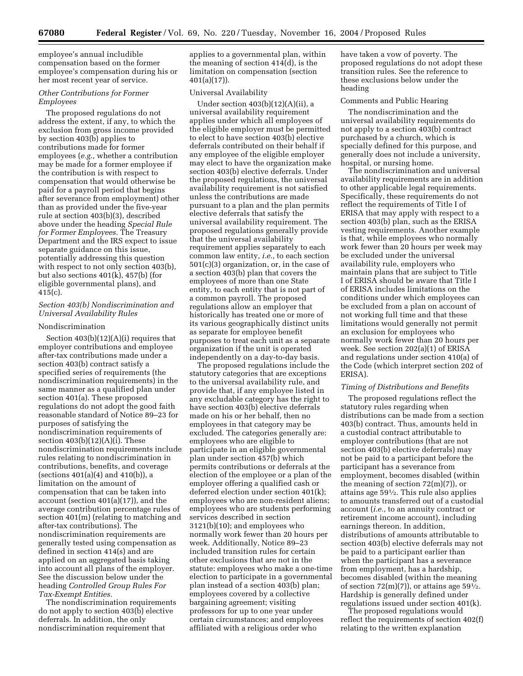employee's annual includible compensation based on the former employee's compensation during his or her most recent year of service.

# *Other Contributions for Former Employees*

The proposed regulations do not address the extent, if any, to which the exclusion from gross income provided by section 403(b) applies to contributions made for former employees (*e.g.,* whether a contribution may be made for a former employee if the contribution is with respect to compensation that would otherwise be paid for a payroll period that begins after severance from employment) other than as provided under the five-year rule at section 403(b)(3), described above under the heading *Special Rule for Former Employees.* The Treasury Department and the IRS expect to issue separate guidance on this issue, potentially addressing this question with respect to not only section 403(b), but also sections 401(k), 457(b) (for eligible governmental plans), and  $415(c)$ .

# *Section 403(b) Nondiscrimination and Universal Availability Rules*

## Nondiscrimination

Section 403(b)(12)(A)(i) requires that employer contributions and employee after-tax contributions made under a section 403(b) contract satisfy a specified series of requirements (the nondiscrimination requirements) in the same manner as a qualified plan under section 401(a). These proposed regulations do not adopt the good faith reasonable standard of Notice 89–23 for purposes of satisfying the nondiscrimination requirements of section  $403(b)(12)(A)(i)$ . These nondiscrimination requirements include rules relating to nondiscrimination in contributions, benefits, and coverage (sections 401(a)(4) and 410(b)), a limitation on the amount of compensation that can be taken into account (section 401(a)(17)), and the average contribution percentage rules of section 401(m) (relating to matching and after-tax contributions). The nondiscrimination requirements are generally tested using compensation as defined in section 414(s) and are applied on an aggregated basis taking into account all plans of the employer. See the discussion below under the heading *Controlled Group Rules For Tax-Exempt Entities.*

The nondiscrimination requirements do not apply to section 403(b) elective deferrals. In addition, the only nondiscrimination requirement that

applies to a governmental plan, within the meaning of section 414(d), is the limitation on compensation (section 401(a)(17)).

### Universal Availability

Under section 403(b)(12)(A)(ii), a universal availability requirement applies under which all employees of the eligible employer must be permitted to elect to have section 403(b) elective deferrals contributed on their behalf if any employee of the eligible employer may elect to have the organization make section 403(b) elective deferrals. Under the proposed regulations, the universal availability requirement is not satisfied unless the contributions are made pursuant to a plan and the plan permits elective deferrals that satisfy the universal availability requirement. The proposed regulations generally provide that the universal availability requirement applies separately to each common law entity, *i.e.,* to each section 501(c)(3) organization, or, in the case of a section 403(b) plan that covers the employees of more than one State entity, to each entity that is not part of a common payroll. The proposed regulations allow an employer that historically has treated one or more of its various geographically distinct units as separate for employee benefit purposes to treat each unit as a separate organization if the unit is operated independently on a day-to-day basis.

The proposed regulations include the statutory categories that are exceptions to the universal availability rule, and provide that, if any employee listed in any excludable category has the right to have section 403(b) elective deferrals made on his or her behalf, then no employees in that category may be excluded. The categories generally are: employees who are eligible to participate in an eligible governmental plan under section 457(b) which permits contributions or deferrals at the election of the employee or a plan of the employer offering a qualified cash or deferred election under section 401(k); employees who are non-resident aliens; employees who are students performing services described in section 3121(b)(10); and employees who normally work fewer than 20 hours per week. Additionally, Notice 89–23 included transition rules for certain other exclusions that are not in the statute: employees who make a one-time election to participate in a governmental plan instead of a section 403(b) plan; employees covered by a collective bargaining agreement; visiting professors for up to one year under certain circumstances; and employees affiliated with a religious order who

have taken a vow of poverty. The proposed regulations do not adopt these transition rules. See the reference to these exclusions below under the heading

### Comments and Public Hearing

The nondiscrimination and the universal availability requirements do not apply to a section 403(b) contract purchased by a church, which is specially defined for this purpose, and generally does not include a university, hospital, or nursing home.

The nondiscrimination and universal availability requirements are in addition to other applicable legal requirements. Specifically, these requirements do not reflect the requirements of Title I of ERISA that may apply with respect to a section 403(b) plan, such as the ERISA vesting requirements. Another example is that, while employees who normally work fewer than 20 hours per week may be excluded under the universal availability rule, employers who maintain plans that are subject to Title I of ERISA should be aware that Title I of ERISA includes limitations on the conditions under which employees can be excluded from a plan on account of not working full time and that these limitations would generally not permit an exclusion for employees who normally work fewer than 20 hours per week. See section 202(a)(1) of ERISA and regulations under section 410(a) of the Code (which interpret section 202 of ERISA).

#### *Timing of Distributions and Benefits*

The proposed regulations reflect the statutory rules regarding when distributions can be made from a section 403(b) contract. Thus, amounts held in a custodial contract attributable to employer contributions (that are not section 403(b) elective deferrals) may not be paid to a participant before the participant has a severance from employment, becomes disabled (within the meaning of section 72(m)(7)), or attains age 591⁄2. This rule also applies to amounts transferred out of a custodial account (*i.e.*, to an annuity contract or retirement income account), including earnings thereon. In addition, distributions of amounts attributable to section 403(b) elective deferrals may not be paid to a participant earlier than when the participant has a severance from employment, has a hardship, becomes disabled (within the meaning of section  $72(m)(7)$ , or attains age  $59\frac{1}{2}$ . Hardship is generally defined under regulations issued under section 401(k).

The proposed regulations would reflect the requirements of section 402(f) relating to the written explanation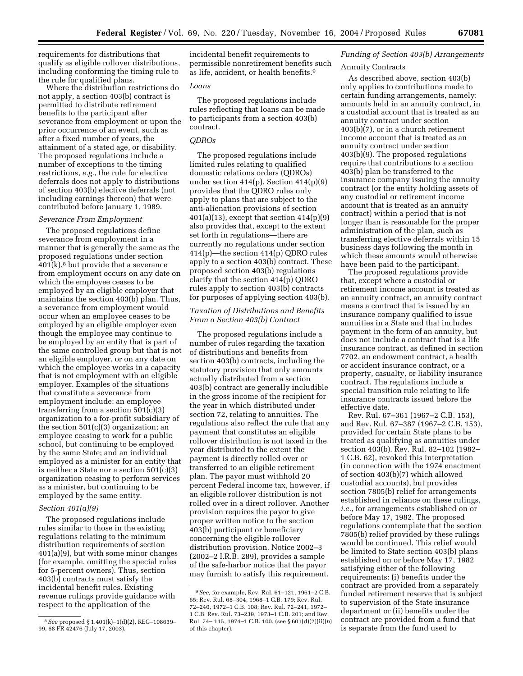requirements for distributions that qualify as eligible rollover distributions, including conforming the timing rule to the rule for qualified plans.

Where the distribution restrictions do not apply, a section 403(b) contract is permitted to distribute retirement benefits to the participant after severance from employment or upon the prior occurrence of an event, such as after a fixed number of years, the attainment of a stated age, or disability. The proposed regulations include a number of exceptions to the timing restrictions, *e.g.*, the rule for elective deferrals does not apply to distributions of section 403(b) elective deferrals (not including earnings thereon) that were contributed before January 1, 1989.

### *Severance From Employment*

The proposed regulations define severance from employment in a manner that is generally the same as the proposed regulations under section  $401(k)$ ,<sup>8</sup> but provide that a severance from employment occurs on any date on which the employee ceases to be employed by an eligible employer that maintains the section 403(b) plan. Thus, a severance from employment would occur when an employee ceases to be employed by an eligible employer even though the employee may continue to be employed by an entity that is part of the same controlled group but that is not an eligible employer, or on any date on which the employee works in a capacity that is not employment with an eligible employer. Examples of the situations that constitute a severance from employment include: an employee transferring from a section 501(c)(3) organization to a for-profit subsidiary of the section 501(c)(3) organization; an employee ceasing to work for a public school, but continuing to be employed by the same State; and an individual employed as a minister for an entity that is neither a State nor a section 501(c)(3) organization ceasing to perform services as a minister, but continuing to be employed by the same entity.

#### *Section 401(a)(9)*

The proposed regulations include rules similar to those in the existing regulations relating to the minimum distribution requirements of section 401(a)(9), but with some minor changes (for example, omitting the special rules for 5-percent owners). Thus, section 403(b) contracts must satisfy the incidental benefit rules. Existing revenue rulings provide guidance with respect to the application of the

incidental benefit requirements to permissible nonretirement benefits such as life, accident, or health benefits.9

# *Loans*

The proposed regulations include rules reflecting that loans can be made to participants from a section 403(b) contract.

# *QDROs*

The proposed regulations include limited rules relating to qualified domestic relations orders (QDROs) under section 414(p). Section 414(p)(9) provides that the QDRO rules only apply to plans that are subject to the anti-alienation provisions of section 401(a)(13), except that section 414(p)(9) also provides that, except to the extent set forth in regulations—there are currently no regulations under section 414(p)—the section 414(p) QDRO rules apply to a section 403(b) contract. These proposed section 403(b) regulations clarify that the section 414(p) QDRO rules apply to section 403(b) contracts for purposes of applying section 403(b).

### *Taxation of Distributions and Benefits From a Section 403(b) Contract*

The proposed regulations include a number of rules regarding the taxation of distributions and benefits from section 403(b) contracts, including the statutory provision that only amounts actually distributed from a section 403(b) contract are generally includible in the gross income of the recipient for the year in which distributed under section 72, relating to annuities. The regulations also reflect the rule that any payment that constitutes an eligible rollover distribution is not taxed in the year distributed to the extent the payment is directly rolled over or transferred to an eligible retirement plan. The payor must withhold 20 percent Federal income tax, however, if an eligible rollover distribution is not rolled over in a direct rollover. Another provision requires the payor to give proper written notice to the section 403(b) participant or beneficiary concerning the eligible rollover distribution provision. Notice 2002–3 (2002–2 I.R.B. 289), provides a sample of the safe-harbor notice that the payor may furnish to satisfy this requirement.

# *Funding of Section 403(b) Arrangements*

# Annuity Contracts

As described above, section 403(b) only applies to contributions made to certain funding arrangements, namely: amounts held in an annuity contract, in a custodial account that is treated as an annuity contract under section 403(b)(7), or in a church retirement income account that is treated as an annuity contract under section 403(b)(9). The proposed regulations require that contributions to a section 403(b) plan be transferred to the insurance company issuing the annuity contract (or the entity holding assets of any custodial or retirement income account that is treated as an annuity contract) within a period that is not longer than is reasonable for the proper administration of the plan, such as transferring elective deferrals within 15 business days following the month in which these amounts would otherwise have been paid to the participant.

The proposed regulations provide that, except where a custodial or retirement income account is treated as an annuity contract, an annuity contract means a contract that is issued by an insurance company qualified to issue annuities in a State and that includes payment in the form of an annuity, but does not include a contract that is a life insurance contract, as defined in section 7702, an endowment contract, a health or accident insurance contract, or a property, casualty, or liability insurance contract. The regulations include a special transition rule relating to life insurance contracts issued before the effective date.

Rev. Rul. 67–361 (1967–2 C.B. 153), and Rev. Rul. 67–387 (1967–2 C.B. 153), provided for certain State plans to be treated as qualifying as annuities under section 403(b). Rev. Rul. 82–102 (1982– 1 C.B. 62), revoked this interpretation (in connection with the 1974 enactment of section 403(b)(7) which allowed custodial accounts), but provides section 7805(b) relief for arrangements established in reliance on these rulings, *i.e.*, for arrangements established on or before May 17, 1982. The proposed regulations contemplate that the section 7805(b) relief provided by these rulings would be continued. This relief would be limited to State section 403(b) plans established on or before May 17, 1982 satisfying either of the following requirements: (i) benefits under the contract are provided from a separately funded retirement reserve that is subject to supervision of the State insurance department or (ii) benefits under the contract are provided from a fund that is separate from the fund used to

<sup>8</sup>*See* proposed § 1.401(k)–1(d)(2), REG–108639– 99, 68 FR 42476 (July 17, 2003).

<sup>9</sup>*See,* for example, Rev. Rul. 61–121, 1961–2 C.B. 65; Rev. Rul. 68–304, 1968–1 C.B. 179; Rev. Rul. 72–240, 1972–1 C.B. 108; Rev. Rul. 72–241, 1972– 1 C.B. Rev. Rul. 73–239, 1973–1 C.B. 201; and Rev. Rul. 74– 115, 1974–1 C.B. 100. (see § 601(d)(2)(ii)(*b*) of this chapter).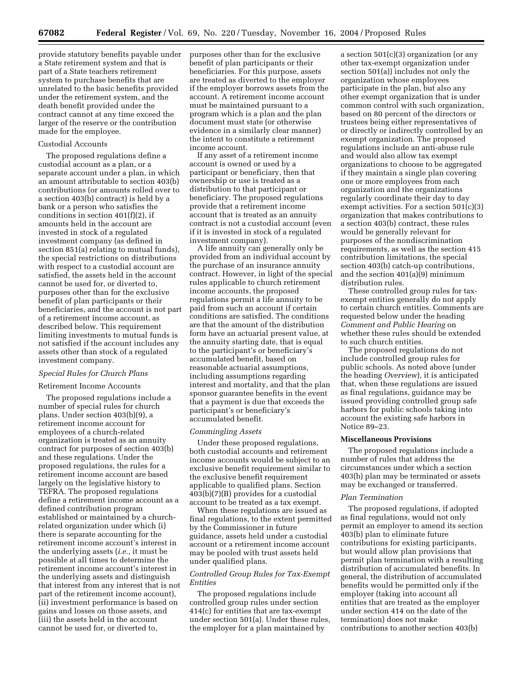provide statutory benefits payable under a State retirement system and that is part of a State teachers retirement system to purchase benefits that are unrelated to the basic benefits provided under the retirement system, and the death benefit provided under the contract cannot at any time exceed the larger of the reserve or the contribution made for the employee.

# Custodial Accounts

The proposed regulations define a custodial account as a plan, or a separate account under a plan, in which an amount attributable to section 403(b) contributions (or amounts rolled over to a section 403(b) contract) is held by a bank or a person who satisfies the conditions in section 401(f)(2), if amounts held in the account are invested in stock of a regulated investment company (as defined in section 851(a) relating to mutual funds), the special restrictions on distributions with respect to a custodial account are satisfied, the assets held in the account cannot be used for, or diverted to, purposes other than for the exclusive benefit of plan participants or their beneficiaries, and the account is not part of a retirement income account, as described below. This requirement limiting investments to mutual funds is not satisfied if the account includes any assets other than stock of a regulated investment company.

### *Special Rules for Church Plans*

#### Retirement Income Accounts

The proposed regulations include a number of special rules for church plans. Under section 403(b)(9), a retirement income account for employees of a church-related organization is treated as an annuity contract for purposes of section 403(b) and these regulations. Under the proposed regulations, the rules for a retirement income account are based largely on the legislative history to TEFRA. The proposed regulations define a retirement income account as a defined contribution program established or maintained by a churchrelated organization under which (i) there is separate accounting for the retirement income account's interest in the underlying assets (*i.e.*, it must be possible at all times to determine the retirement income account's interest in the underlying assets and distinguish that interest from any interest that is not part of the retirement income account), (ii) investment performance is based on gains and losses on those assets, and (iii) the assets held in the account cannot be used for, or diverted to,

purposes other than for the exclusive benefit of plan participants or their beneficiaries. For this purpose, assets are treated as diverted to the employer if the employer borrows assets from the account. A retirement income account must be maintained pursuant to a program which is a plan and the plan document must state (or otherwise evidence in a similarly clear manner) the intent to constitute a retirement income account.

If any asset of a retirement income account is owned or used by a participant or beneficiary, then that ownership or use is treated as a distribution to that participant or beneficiary. The proposed regulations provide that a retirement income account that is treated as an annuity contract is not a custodial account (even if it is invested in stock of a regulated investment company).

A life annuity can generally only be provided from an individual account by the purchase of an insurance annuity contract. However, in light of the special rules applicable to church retirement income accounts, the proposed regulations permit a life annuity to be paid from such an account if certain conditions are satisfied. The conditions are that the amount of the distribution form have an actuarial present value, at the annuity starting date, that is equal to the participant's or beneficiary's accumulated benefit, based on reasonable actuarial assumptions, including assumptions regarding interest and mortality, and that the plan sponsor guarantee benefits in the event that a payment is due that exceeds the participant's or beneficiary's accumulated benefit.

#### *Commingling Assets*

Under these proposed regulations, both custodial accounts and retirement income accounts would be subject to an exclusive benefit requirement similar to the exclusive benefit requirement applicable to qualified plans. Section 403(b)(7)(B) provides for a custodial account to be treated as a tax exempt.

When these regulations are issued as final regulations, to the extent permitted by the Commissioner in future guidance, assets held under a custodial account or a retirement income account may be pooled with trust assets held under qualified plans.

### *Controlled Group Rules for Tax-Exempt Entities*

The proposed regulations include controlled group rules under section 414(c) for entities that are tax-exempt under section 501(a). Under these rules, the employer for a plan maintained by

a section 501(c)(3) organization (or any other tax-exempt organization under section 501(a)) includes not only the organization whose employees participate in the plan, but also any other exempt organization that is under common control with such organization, based on 80 percent of the directors or trustees being either representatives of or directly or indirectly controlled by an exempt organization. The proposed regulations include an anti-abuse rule and would also allow tax exempt organizations to choose to be aggregated if they maintain a single plan covering one or more employees from each organization and the organizations regularly coordinate their day to day exempt activities. For a section 501(c)(3) organization that makes contributions to a section 403(b) contract, these rules would be generally relevant for purposes of the nondiscrimination requirements, as well as the section 415 contribution limitations, the special section 403(b) catch-up contributions, and the section 401(a)(9) minimum distribution rules.

These controlled group rules for taxexempt entities generally do not apply to certain church entities. Comments are requested below under the heading *Comment and Public Hearing* on whether these rules should be extended to such church entities.

The proposed regulations do not include controlled group rules for public schools. As noted above (under the heading *Overview*), it is anticipated that, when these regulations are issued as final regulations, guidance may be issued providing controlled group safe harbors for public schools taking into account the existing safe harbors in Notice 89–23.

#### **Miscellaneous Provisions**

The proposed regulations include a number of rules that address the circumstances under which a section 403(b) plan may be terminated or assets may be exchanged or transferred.

### *Plan Termination*

The proposed regulations, if adopted as final regulations, would not only permit an employer to amend its section 403(b) plan to eliminate future contributions for existing participants, but would allow plan provisions that permit plan termination with a resulting distribution of accumulated benefits. In general, the distribution of accumulated benefits would be permitted only if the employer (taking into account all entities that are treated as the employer under section 414 on the date of the termination) does not make contributions to another section 403(b)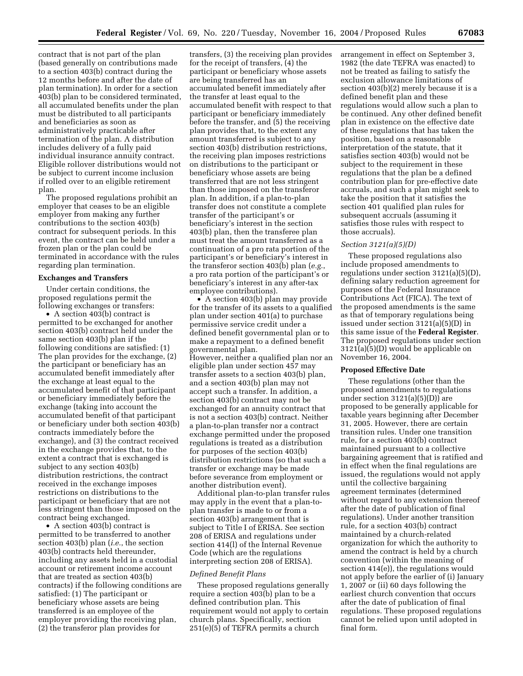contract that is not part of the plan (based generally on contributions made to a section 403(b) contract during the 12 months before and after the date of plan termination). In order for a section 403(b) plan to be considered terminated, all accumulated benefits under the plan must be distributed to all participants and beneficiaries as soon as administratively practicable after termination of the plan. A distribution includes delivery of a fully paid individual insurance annuity contract. Eligible rollover distributions would not be subject to current income inclusion if rolled over to an eligible retirement plan.

The proposed regulations prohibit an employer that ceases to be an eligible employer from making any further contributions to the section 403(b) contract for subsequent periods. In this event, the contract can be held under a frozen plan or the plan could be terminated in accordance with the rules regarding plan termination.

#### **Exchanges and Transfers**

Under certain conditions, the proposed regulations permit the following exchanges or transfers:

• A section 403(b) contract is permitted to be exchanged for another section 403(b) contract held under the same section 403(b) plan if the following conditions are satisfied: (1) The plan provides for the exchange, (2) the participant or beneficiary has an accumulated benefit immediately after the exchange at least equal to the accumulated benefit of that participant or beneficiary immediately before the exchange (taking into account the accumulated benefit of that participant or beneficiary under both section 403(b) contracts immediately before the exchange), and (3) the contract received in the exchange provides that, to the extent a contract that is exchanged is subject to any section 403(b) distribution restrictions, the contract received in the exchange imposes restrictions on distributions to the participant or beneficiary that are not less stringent than those imposed on the contract being exchanged.

• A section 403(b) contract is permitted to be transferred to another section 403(b) plan (*i.e.*, the section 403(b) contracts held thereunder, including any assets held in a custodial account or retirement income account that are treated as section 403(b) contracts) if the following conditions are satisfied: (1) The participant or beneficiary whose assets are being transferred is an employee of the employer providing the receiving plan, (2) the transferor plan provides for

transfers, (3) the receiving plan provides for the receipt of transfers, (4) the participant or beneficiary whose assets are being transferred has an accumulated benefit immediately after the transfer at least equal to the accumulated benefit with respect to that participant or beneficiary immediately before the transfer, and (5) the receiving plan provides that, to the extent any amount transferred is subject to any section 403(b) distribution restrictions, the receiving plan imposes restrictions on distributions to the participant or beneficiary whose assets are being transferred that are not less stringent than those imposed on the transferor plan. In addition, if a plan-to-plan transfer does not constitute a complete transfer of the participant's or beneficiary's interest in the section 403(b) plan, then the transferee plan must treat the amount transferred as a continuation of a pro rata portion of the participant's or beneficiary's interest in the transferor section 403(b) plan (*e.g.*, a pro rata portion of the participant's or beneficiary's interest in any after-tax employee contributions).

• A section 403(b) plan may provide for the transfer of its assets to a qualified plan under section 401(a) to purchase permissive service credit under a defined benefit governmental plan or to make a repayment to a defined benefit governmental plan. However, neither a qualified plan nor an eligible plan under section 457 may transfer assets to a section 403(b) plan, and a section 403(b) plan may not accept such a transfer. In addition, a section 403(b) contract may not be exchanged for an annuity contract that is not a section 403(b) contract. Neither a plan-to-plan transfer nor a contract exchange permitted under the proposed regulations is treated as a distribution for purposes of the section 403(b) distribution restrictions (so that such a transfer or exchange may be made before severance from employment or another distribution event).

Additional plan-to-plan transfer rules may apply in the event that a plan-toplan transfer is made to or from a section 403(b) arrangement that is subject to Title I of ERISA. See section 208 of ERISA and regulations under section 414(l) of the Internal Revenue Code (which are the regulations interpreting section 208 of ERISA).

#### *Defined Benefit Plans*

These proposed regulations generally require a section 403(b) plan to be a defined contribution plan. This requirement would not apply to certain church plans. Specifically, section 251(e)(5) of TEFRA permits a church

arrangement in effect on September 3, 1982 (the date TEFRA was enacted) to not be treated as failing to satisfy the exclusion allowance limitations of section 403(b)(2) merely because it is a defined benefit plan and these regulations would allow such a plan to be continued. Any other defined benefit plan in existence on the effective date of these regulations that has taken the position, based on a reasonable interpretation of the statute, that it satisfies section 403(b) would not be subject to the requirement in these regulations that the plan be a defined contribution plan for pre-effective date accruals, and such a plan might seek to take the position that it satisfies the section 401 qualified plan rules for subsequent accruals (assuming it satisfies those rules with respect to those accruals).

#### *Section 3121(a)(5)(D)*

These proposed regulations also include proposed amendments to regulations under section 3121(a)(5)(D), defining salary reduction agreement for purposes of the Federal Insurance Contributions Act (FICA). The text of the proposed amendments is the same as that of temporary regulations being issued under section 3121(a)(5)(D) in this same issue of the **Federal Register**. The proposed regulations under section 3121(a)(5)(D) would be applicable on November 16, 2004.

# **Proposed Effective Date**

These regulations (other than the proposed amendments to regulations under section 3121(a)(5)(D)) are proposed to be generally applicable for taxable years beginning after December 31, 2005. However, there are certain transition rules. Under one transition rule, for a section 403(b) contract maintained pursuant to a collective bargaining agreement that is ratified and in effect when the final regulations are issued, the regulations would not apply until the collective bargaining agreement terminates (determined without regard to any extension thereof after the date of publication of final regulations). Under another transition rule, for a section 403(b) contract maintained by a church-related organization for which the authority to amend the contract is held by a church convention (within the meaning of section 414(e)), the regulations would not apply before the earlier of (i) January 1, 2007 or (ii) 60 days following the earliest church convention that occurs after the date of publication of final regulations. These proposed regulations cannot be relied upon until adopted in final form.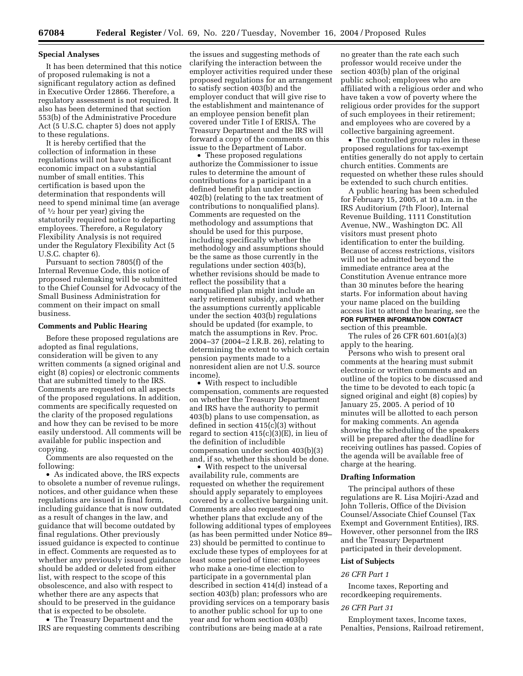#### **Special Analyses**

It has been determined that this notice of proposed rulemaking is not a significant regulatory action as defined in Executive Order 12866. Therefore, a regulatory assessment is not required. It also has been determined that section 553(b) of the Administrative Procedure Act (5 U.S.C. chapter 5) does not apply to these regulations.

It is hereby certified that the collection of information in these regulations will not have a significant economic impact on a substantial number of small entities. This certification is based upon the determination that respondents will need to spend minimal time (an average of  $\frac{1}{2}$  hour per year) giving the statutorily required notice to departing employees. Therefore, a Regulatory Flexibility Analysis is not required under the Regulatory Flexibility Act (5 U.S.C. chapter 6).

Pursuant to section 7805(f) of the Internal Revenue Code, this notice of proposed rulemaking will be submitted to the Chief Counsel for Advocacy of the Small Business Administration for comment on their impact on small business.

#### **Comments and Public Hearing**

Before these proposed regulations are adopted as final regulations, consideration will be given to any written comments (a signed original and eight (8) copies) or electronic comments that are submitted timely to the IRS. Comments are requested on all aspects of the proposed regulations. In addition, comments are specifically requested on the clarity of the proposed regulations and how they can be revised to be more easily understood. All comments will be available for public inspection and copying.

Comments are also requested on the following:

• As indicated above, the IRS expects to obsolete a number of revenue rulings, notices, and other guidance when these regulations are issued in final form, including guidance that is now outdated as a result of changes in the law, and guidance that will become outdated by final regulations. Other previously issued guidance is expected to continue in effect. Comments are requested as to whether any previously issued guidance should be added or deleted from either list, with respect to the scope of this obsolescence, and also with respect to whether there are any aspects that should to be preserved in the guidance that is expected to be obsolete.

• The Treasury Department and the IRS are requesting comments describing the issues and suggesting methods of clarifying the interaction between the employer activities required under these proposed regulations for an arrangement to satisfy section 403(b) and the employer conduct that will give rise to the establishment and maintenance of an employee pension benefit plan covered under Title I of ERISA. The Treasury Department and the IRS will forward a copy of the comments on this issue to the Department of Labor.

• These proposed regulations authorize the Commissioner to issue rules to determine the amount of contributions for a participant in a defined benefit plan under section 402(b) (relating to the tax treatment of contributions to nonqualified plans). Comments are requested on the methodology and assumptions that should be used for this purpose, including specifically whether the methodology and assumptions should be the same as those currently in the regulations under section 403(b), whether revisions should be made to reflect the possibility that a nonqualified plan might include an early retirement subsidy, and whether the assumptions currently applicable under the section 403(b) regulations should be updated (for example, to match the assumptions in Rev. Proc. 2004–37 (2004–2 I.R.B. 26), relating to determining the extent to which certain pension payments made to a nonresident alien are not U.S. source income).

• With respect to includible compensation, comments are requested on whether the Treasury Department and IRS have the authority to permit 403(b) plans to use compensation, as defined in section 415(c)(3) without regard to section  $415(c)(3)(E)$ , in lieu of the definition of includible compensation under section 403(b)(3) and, if so, whether this should be done.

• With respect to the universal availability rule, comments are requested on whether the requirement should apply separately to employees covered by a collective bargaining unit. Comments are also requested on whether plans that exclude any of the following additional types of employees (as has been permitted under Notice 89– 23) should be permitted to continue to exclude these types of employees for at least some period of time: employees who make a one-time election to participate in a governmental plan described in section 414(d) instead of a section 403(b) plan; professors who are providing services on a temporary basis to another public school for up to one year and for whom section 403(b) contributions are being made at a rate

no greater than the rate each such professor would receive under the section 403(b) plan of the original public school; employees who are affiliated with a religious order and who have taken a vow of poverty where the religious order provides for the support of such employees in their retirement; and employees who are covered by a collective bargaining agreement.

• The controlled group rules in these proposed regulations for tax-exempt entities generally do not apply to certain church entities. Comments are requested on whether these rules should be extended to such church entities.

A public hearing has been scheduled for February 15, 2005, at 10 a.m. in the IRS Auditorium (7th Floor), Internal Revenue Building, 1111 Constitution Avenue, NW., Washington DC. All visitors must present photo identification to enter the building. Because of access restrictions, visitors will not be admitted beyond the immediate entrance area at the Constitution Avenue entrance more than 30 minutes before the hearing starts. For information about having your name placed on the building access list to attend the hearing, see the **FOR FURTHER INFORMATION CONTACT** section of this preamble.

The rules of 26 CFR 601.601(a)(3) apply to the hearing.

Persons who wish to present oral comments at the hearing must submit electronic or written comments and an outline of the topics to be discussed and the time to be devoted to each topic (a signed original and eight (8) copies) by January 25, 2005. A period of 10 minutes will be allotted to each person for making comments. An agenda showing the scheduling of the speakers will be prepared after the deadline for receiving outlines has passed. Copies of the agenda will be available free of charge at the hearing.

### **Drafting Information**

The principal authors of these regulations are R. Lisa Mojiri-Azad and John Tolleris, Office of the Division Counsel/Associate Chief Counsel (Tax Exempt and Government Entities), IRS. However, other personnel from the IRS and the Treasury Department participated in their development.

#### **List of Subjects**

#### *26 CFR Part 1*

Income taxes, Reporting and recordkeeping requirements.

#### *26 CFR Part 31*

Employment taxes, Income taxes, Penalties, Pensions, Railroad retirement,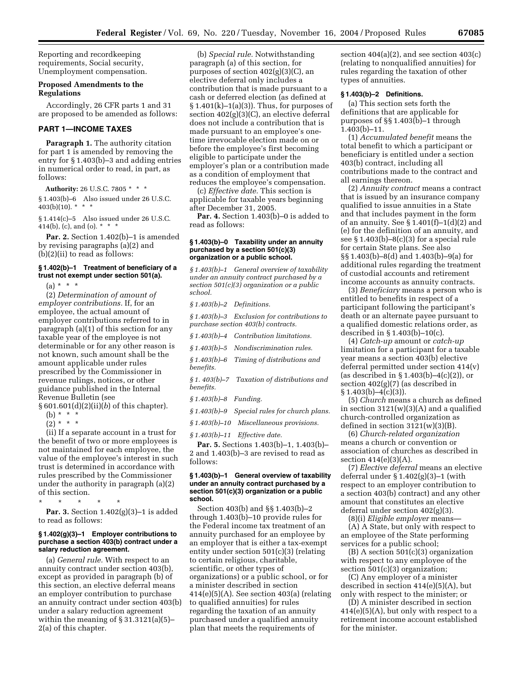Reporting and recordkeeping requirements, Social security, Unemployment compensation.

#### **Proposed Amendments to the Regulations**

Accordingly, 26 CFR parts 1 and 31 are proposed to be amended as follows:

# **PART 1—INCOME TAXES**

**Paragraph 1.** The authority citation for part 1 is amended by removing the entry for § 1.403(b)–3 and adding entries in numerical order to read, in part, as follows:

**Authority:** 26 U.S.C. 7805 \* \* \* § 1.403(b)–6 Also issued under 26 U.S.C. 403(b)(10).  $* * *$ 

§ 1.414(c)–5 Also issued under 26 U.S.C. 414(b), (c), and (o).  $*$   $*$ 

**Par. 2.** Section 1.402(b)–1 is amended by revising paragraphs (a)(2) and (b)(2)(ii) to read as follows:

# **§ 1.402(b)–1 Treatment of beneficiary of a trust not exempt under section 501(a).**

 $(a) * * * *$ 

(2) *Determination of amount of employer contributions.* If, for an employee, the actual amount of employer contributions referred to in paragraph (a)(1) of this section for any taxable year of the employee is not determinable or for any other reason is not known, such amount shall be the amount applicable under rules prescribed by the Commissioner in revenue rulings, notices, or other guidance published in the Internal Revenue Bulletin (see

§ 601.601(d)(2)(ii)(*b*) of this chapter).

- $(b) * * * *$
- $(2) * * * *$

(ii) If a separate account in a trust for the benefit of two or more employees is not maintained for each employee, the value of the employee's interest in such trust is determined in accordance with rules prescribed by the Commissioner under the authority in paragraph (a)(2) of this section.

\* \* \* \* \* **Par. 3.** Section 1.402(g)(3)–1 is added to read as follows:

#### **§ 1.402(g)(3)–1 Employer contributions to purchase a section 403(b) contract under a salary reduction agreement.**

(a) *General rule.* With respect to an annuity contract under section 403(b), except as provided in paragraph (b) of this section, an elective deferral means an employer contribution to purchase an annuity contract under section 403(b) under a salary reduction agreement within the meaning of  $\S 31.3121(a)(5)$ -2(a) of this chapter.

(b) *Special rule.* Notwithstanding paragraph (a) of this section, for purposes of section  $402(g)(3)(C)$ , an elective deferral only includes a contribution that is made pursuant to a cash or deferred election (as defined at  $§ 1.401(k)-1(a)(3)$ . Thus, for purposes of section 402(g)(3)(C), an elective deferral does not include a contribution that is made pursuant to an employee's onetime irrevocable election made on or before the employee's first becoming eligible to participate under the employer's plan or a contribution made as a condition of employment that reduces the employee's compensation.

(c) *Effective date.* This section is applicable for taxable years beginning after December 31, 2005.

**Par. 4.** Section 1.403(b)–0 is added to read as follows:

### **§ 1.403(b)–0 Taxability under an annuity purchased by a section 501(c)(3) organization or a public school.**

*§ 1.403(b)–1 General overview of taxability under an annuity contract purchased by a section 501(c)(3) organization or a public school.* 

*§ 1.403(b)–2 Definitions.* 

*§ 1.403(b)–3 Exclusion for contributions to purchase section 403(b) contracts.* 

*§ 1.403(b)–4 Contribution limitations.* 

*§ 1.403(b)–5 Nondiscrimination rules.* 

*§ 1.403(b)–6 Timing of distributions and benefits.* 

*§ 1. 403(b)–7 Taxation of distributions and benefits.* 

*§ 1.403(b)–8 Funding.* 

*§ 1.403(b)–9 Special rules for church plans.* 

*§ 1.403(b)–10 Miscellaneous provisions.* 

*§ 1.403(b)–11 Effective date.*

**Par. 5.** Sections 1.403(b)–1, 1.403(b)– 2 and 1.403(b)–3 are revised to read as follows:

### **§ 1.403(b)–1 General overview of taxability under an annuity contract purchased by a section 501(c)(3) organization or a public school.**

Section 403(b) and §§ 1.403(b)–2 through 1.403(b)–10 provide rules for the Federal income tax treatment of an annuity purchased for an employee by an employer that is either a tax-exempt entity under section 501(c)(3) (relating to certain religious, charitable, scientific, or other types of organizations) or a public school, or for a minister described in section  $414(e)(5)(A)$ . See section  $403(a)$  (relating to qualified annuities) for rules regarding the taxation of an annuity purchased under a qualified annuity plan that meets the requirements of

section  $404(a)(2)$ , and see section  $403(c)$ (relating to nonqualified annuities) for rules regarding the taxation of other types of annuities.

# **§ 1.403(b)–2 Definitions.**

(a) This section sets forth the definitions that are applicable for purposes of §§ 1.403(b)–1 through  $1.403(b)-11.$ 

(1) *Accumulated benefit* means the total benefit to which a participant or beneficiary is entitled under a section 403(b) contract, including all contributions made to the contract and all earnings thereon.

(2) *Annuity contract* means a contract that is issued by an insurance company qualified to issue annuities in a State and that includes payment in the form of an annuity. See  $\S 1.401(f)-1(d)(2)$  and (e) for the definition of an annuity, and see § 1.403(b)–8(c)(3) for a special rule for certain State plans. See also §§ 1.403(b)–8(d) and 1.403(b)–9(a) for additional rules regarding the treatment of custodial accounts and retirement income accounts as annuity contracts.

(3) *Beneficiary* means a person who is entitled to benefits in respect of a participant following the participant's death or an alternate payee pursuant to a qualified domestic relations order, as described in § 1.403(b)–10(c).

(4) *Catch-up* amount or *catch-up* limitation for a participant for a taxable year means a section 403(b) elective deferral permitted under section 414(v) (as described in § 1.403(b)–4(c)(2)), or section 402(g)(7) (as described in  $§ 1.403(b) - 4(c)(3)$ .

(5) *Church* means a church as defined in section 3121(w)(3)(A) and a qualified church-controlled organization as defined in section  $3121(w)(3)(B)$ .

(6) *Church-related organization* means a church or convention or association of churches as described in section  $414(e)(3)(A)$ .

(7) *Elective deferral* means an elective deferral under  $\S 1.402(g)(3)-1$  (with respect to an employer contribution to a section 403(b) contract) and any other amount that constitutes an elective deferral under section 402(g)(3).

(8)(i) *Eligible employer* means—

(A) A State, but only with respect to an employee of the State performing services for a public school;

(B) A section 501(c)(3) organization with respect to any employee of the section 501(c)(3) organization;

(C) Any employer of a minister described in section 414(e)(5)(A), but only with respect to the minister; or

(D) A minister described in section 414(e)(5)(A), but only with respect to a retirement income account established for the minister.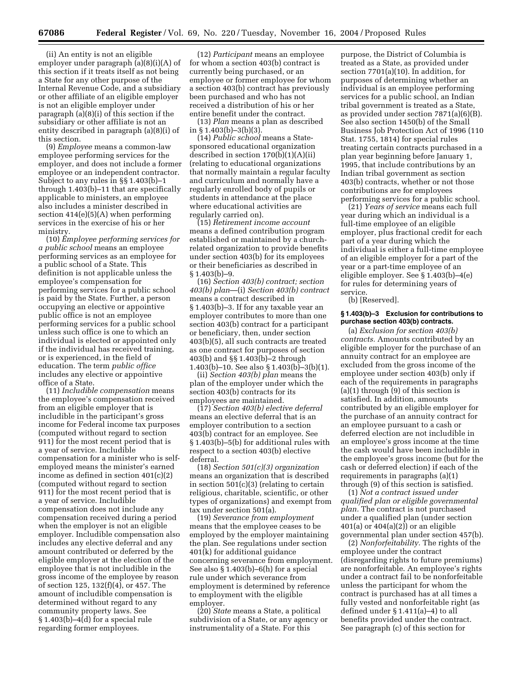(ii) An entity is not an eligible employer under paragraph (a)(8)(i)(A) of this section if it treats itself as not being a State for any other purpose of the Internal Revenue Code, and a subsidiary or other affiliate of an eligible employer is not an eligible employer under paragraph (a)(8)(i) of this section if the subsidiary or other affiliate is not an entity described in paragraph (a)(8)(i) of this section.

(9) *Employee* means a common-law employee performing services for the employer, and does not include a former employee or an independent contractor. Subject to any rules in §§ 1.403(b)–1 through 1.403(b)–11 that are specifically applicable to ministers, an employee also includes a minister described in section 414(e)(5)(A) when performing services in the exercise of his or her ministry.

(10) *Employee performing services for a public school* means an employee performing services as an employee for a public school of a State. This definition is not applicable unless the employee's compensation for performing services for a public school is paid by the State. Further, a person occupying an elective or appointive public office is not an employee performing services for a public school unless such office is one to which an individual is elected or appointed only if the individual has received training, or is experienced, in the field of education. The term *public office* includes any elective or appointive office of a State.

(11) *Includible compensation* means the employee's compensation received from an eligible employer that is includible in the participant's gross income for Federal income tax purposes (computed without regard to section 911) for the most recent period that is a year of service. Includible compensation for a minister who is selfemployed means the minister's earned income as defined in section 401(c)(2) (computed without regard to section 911) for the most recent period that is a year of service. Includible compensation does not include any compensation received during a period when the employer is not an eligible employer. Includible compensation also includes any elective deferral and any amount contributed or deferred by the eligible employer at the election of the employee that is not includible in the gross income of the employee by reason of section 125, 132(f)(4), or 457. The amount of includible compensation is determined without regard to any community property laws. See § 1.403(b)–4(d) for a special rule regarding former employees.

(12) *Participant* means an employee for whom a section 403(b) contract is currently being purchased, or an employee or former employee for whom a section 403(b) contract has previously been purchased and who has not received a distribution of his or her entire benefit under the contract.

(13) *Plan* means a plan as described in  $\S 1.403(b) - 3(b)(3)$ .

(14) *Public school* means a Statesponsored educational organization described in section 170(b)(1)(A)(ii) (relating to educational organizations that normally maintain a regular faculty and curriculum and normally have a regularly enrolled body of pupils or students in attendance at the place where educational activities are regularly carried on).

(15) *Retirement income account* means a defined contribution program established or maintained by a churchrelated organization to provide benefits under section 403(b) for its employees or their beneficiaries as described in  $§ 1.403(b)-9.$ 

(16) *Section 403(b) contract; section 403(b) plan*—(i) *Section 403(b) contract* means a contract described in § 1.403(b)–3. If for any taxable year an employer contributes to more than one section 403(b) contract for a participant or beneficiary, then, under section 403(b)(5), all such contracts are treated as one contract for purposes of section 403(b) and §§ 1.403(b)–2 through 1.403(b)–10. See also § 1.403(b)–3(b)(1).

(ii) *Section 403(b) plan* means the plan of the employer under which the section 403(b) contracts for its employees are maintained.

(17) *Section 403(b) elective deferral* means an elective deferral that is an employer contribution to a section 403(b) contract for an employee. See § 1.403(b)–5(b) for additional rules with respect to a section 403(b) elective deferral.

(18) *Section 501(c)(3) organization* means an organization that is described in section 501(c)(3) (relating to certain religious, charitable, scientific, or other types of organizations) and exempt from tax under section 501(a).

(19) *Severance from employment* means that the employee ceases to be employed by the employer maintaining the plan. See regulations under section 401(k) for additional guidance concerning severance from employment. See also § 1.403(b)–6(h) for a special rule under which severance from employment is determined by reference to employment with the eligible employer.

(20) *State* means a State, a political subdivision of a State, or any agency or instrumentality of a State. For this

purpose, the District of Columbia is treated as a State, as provided under section 7701(a)(10). In addition, for purposes of determining whether an individual is an employee performing services for a public school, an Indian tribal government is treated as a State, as provided under section 7871(a)(6)(B). See also section 1450(b) of the Small Business Job Protection Act of 1996 (110 Stat. 1755, 1814) for special rules treating certain contracts purchased in a plan year beginning before January 1, 1995, that include contributions by an Indian tribal government as section 403(b) contracts, whether or not those contributions are for employees performing services for a public school.

(21) *Years of service* means each full year during which an individual is a full-time employee of an eligible employer, plus fractional credit for each part of a year during which the individual is either a full-time employee of an eligible employer for a part of the year or a part-time employee of an eligible employer. See § 1.403(b)–4(e) for rules for determining years of service.

(b) [Reserved].

### **§ 1.403(b)–3 Exclusion for contributions to purchase section 403(b) contracts.**

(a) *Exclusion for section 403(b) contracts.* Amounts contributed by an eligible employer for the purchase of an annuity contract for an employee are excluded from the gross income of the employee under section 403(b) only if each of the requirements in paragraphs (a)(1) through (9) of this section is satisfied. In addition, amounts contributed by an eligible employer for the purchase of an annuity contract for an employee pursuant to a cash or deferred election are not includible in an employee's gross income at the time the cash would have been includible in the employee's gross income (but for the cash or deferred election) if each of the requirements in paragraphs (a)(1) through (9) of this section is satisfied.

(1) *Not a contract issued under qualified plan or eligible governmental plan.* The contract is not purchased under a qualified plan (under section  $401(a)$  or  $404(a)(2)$  or an eligible governmental plan under section 457(b).

(2) *Nonforfeitability.* The rights of the employee under the contract (disregarding rights to future premiums) are nonforfeitable. An employee's rights under a contract fail to be nonforfeitable unless the participant for whom the contract is purchased has at all times a fully vested and nonforfeitable right (as defined under § 1.411(a)–4) to all benefits provided under the contract. See paragraph (c) of this section for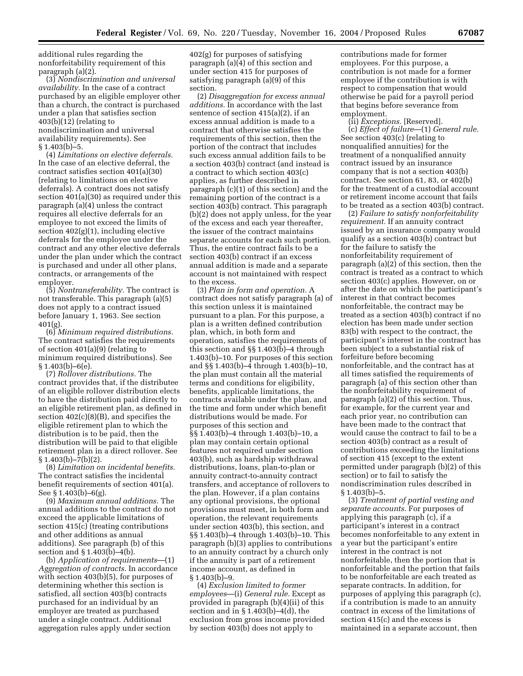additional rules regarding the nonforfeitability requirement of this paragraph (a)(2).

(3) *Nondiscrimination and universal availability.* In the case of a contract purchased by an eligible employer other than a church, the contract is purchased under a plan that satisfies section  $403(b)(12)$  (relating to nondiscrimination and universal availability requirements). See  $§ 1.403(b)-5.$ 

(4) *Limitations on elective deferrals.* In the case of an elective deferral, the contract satisfies section 401(a)(30) (relating to limitations on elective deferrals). A contract does not satisfy section 401(a)(30) as required under this paragraph (a)(4) unless the contract requires all elective deferrals for an employee to not exceed the limits of section 402(g)(1), including elective deferrals for the employee under the contract and any other elective deferrals under the plan under which the contract is purchased and under all other plans, contracts, or arrangements of the employer.

(5) *Nontransferability.* The contract is not transferable. This paragraph (a)(5) does not apply to a contract issued before January 1, 1963. See section 401(g).

(6) *Minimum required distributions.* The contract satisfies the requirements of section 401(a)(9) (relating to minimum required distributions). See  $§ 1.403(b) - 6(e).$ 

(7) *Rollover distributions.* The contract provides that, if the distributee of an eligible rollover distribution elects to have the distribution paid directly to an eligible retirement plan, as defined in section 402(c)(8)(B), and specifies the eligible retirement plan to which the distribution is to be paid, then the distribution will be paid to that eligible retirement plan in a direct rollover. See  $§ 1.403(b)-7(b)(2).$ 

(8) *Limitation on incidental benefits.* The contract satisfies the incidental benefit requirements of section 401(a). See § 1.403(b)–6(g).

(9) *Maximum annual additions.* The annual additions to the contract do not exceed the applicable limitations of section 415(c) (treating contributions and other additions as annual additions). See paragraph (b) of this section and § 1.403(b)–4(b).

(b) *Application of requirements*—(1) *Aggregation of contracts.* In accordance with section 403(b)(5), for purposes of determining whether this section is satisfied, all section 403(b) contracts purchased for an individual by an employer are treated as purchased under a single contract. Additional aggregation rules apply under section

402(g) for purposes of satisfying paragraph (a)(4) of this section and under section 415 for purposes of satisfying paragraph (a)(9) of this section.

(2) *Disaggregation for excess annual additions.* In accordance with the last sentence of section 415(a)(2), if an excess annual addition is made to a contract that otherwise satisfies the requirements of this section, then the portion of the contract that includes such excess annual addition fails to be a section 403(b) contract (and instead is a contract to which section 403(c) applies, as further described in paragraph (c)(1) of this section) and the remaining portion of the contract is a section 403(b) contract. This paragraph (b)(2) does not apply unless, for the year of the excess and each year thereafter, the issuer of the contract maintains separate accounts for each such portion. Thus, the entire contract fails to be a section 403(b) contract if an excess annual addition is made and a separate account is not maintained with respect to the excess.

(3) *Plan in form and operation.* A contract does not satisfy paragraph (a) of this section unless it is maintained pursuant to a plan. For this purpose, a plan is a written defined contribution plan, which, in both form and operation, satisfies the requirements of this section and §§ 1.403(b)–4 through 1.403(b)–10. For purposes of this section and §§ 1.403(b)–4 through 1.403(b)–10, the plan must contain all the material terms and conditions for eligibility, benefits, applicable limitations, the contracts available under the plan, and the time and form under which benefit distributions would be made. For purposes of this section and §§ 1.403(b)–4 through 1.403(b)–10, a plan may contain certain optional features not required under section 403(b), such as hardship withdrawal distributions, loans, plan-to-plan or annuity contract-to-annuity contract transfers, and acceptance of rollovers to the plan. However, if a plan contains any optional provisions, the optional provisions must meet, in both form and operation, the relevant requirements under section 403(b), this section, and §§ 1.403(b)–4 through 1.403(b)–10. This paragraph (b)(3) applies to contributions to an annuity contract by a church only if the annuity is part of a retirement income account, as defined in § 1.403(b)–9.

(4) *Exclusion limited to former employees*—(i) *General rule.* Except as provided in paragraph (b)(4)(ii) of this section and in  $\S 1.403(b) - 4(d)$ , the exclusion from gross income provided by section 403(b) does not apply to

contributions made for former employees. For this purpose, a contribution is not made for a former employee if the contribution is with respect to compensation that would otherwise be paid for a payroll period that begins before severance from employment.

(ii) *Exceptions.* [Reserved]. (c) *Effect of failure*—(1) *General rule.* See section 403(c) (relating to nonqualified annuities) for the treatment of a nonqualified annuity contract issued by an insurance company that is not a section 403(b) contract. See section 61, 83, or 402(b) for the treatment of a custodial account or retirement income account that fails to be treated as a section 403(b) contract.

(2) *Failure to satisfy nonforfeitability requirement.* If an annuity contract issued by an insurance company would qualify as a section 403(b) contract but for the failure to satisfy the nonforfeitability requirement of paragraph (a)(2) of this section, then the contract is treated as a contract to which section 403(c) applies. However, on or after the date on which the participant's interest in that contract becomes nonforfeitable, the contract may be treated as a section 403(b) contract if no election has been made under section 83(b) with respect to the contract, the participant's interest in the contract has been subject to a substantial risk of forfeiture before becoming nonforfeitable, and the contract has at all times satisfied the requirements of paragraph (a) of this section other than the nonforfeitability requirement of paragraph (a)(2) of this section. Thus, for example, for the current year and each prior year, no contribution can have been made to the contract that would cause the contract to fail to be a section 403(b) contract as a result of contributions exceeding the limitations of section 415 (except to the extent permitted under paragraph (b)(2) of this section) or to fail to satisfy the nondiscrimination rules described in  $§ 1.403(b)-5.$ 

(3) *Treatment of partial vesting and separate accounts.* For purposes of applying this paragraph (c), if a participant's interest in a contract becomes nonforfeitable to any extent in a year but the participant's entire interest in the contract is not nonforfeitable, then the portion that is nonforfeitable and the portion that fails to be nonforfeitable are each treated as separate contracts. In addition, for purposes of applying this paragraph (c), if a contribution is made to an annuity contract in excess of the limitations of section 415(c) and the excess is maintained in a separate account, then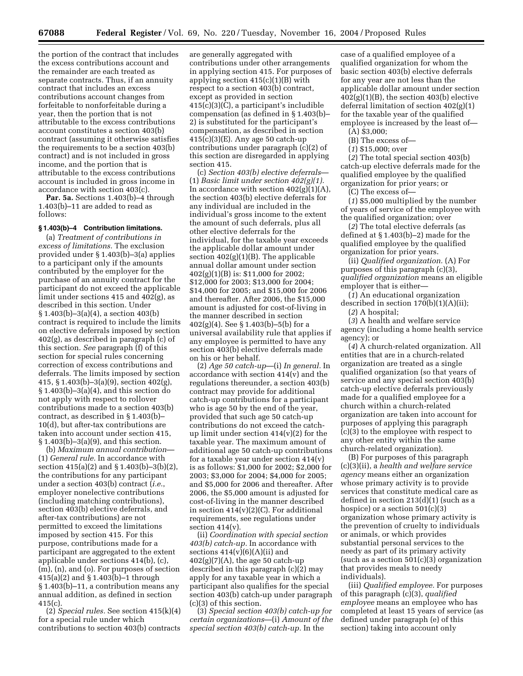the portion of the contract that includes the excess contributions account and the remainder are each treated as separate contracts. Thus, if an annuity contract that includes an excess contributions account changes from forfeitable to nonforfeitable during a year, then the portion that is not attributable to the excess contributions account constitutes a section 403(b) contract (assuming it otherwise satisfies the requirements to be a section 403(b) contract) and is not included in gross income, and the portion that is attributable to the excess contributions account is included in gross income in accordance with section 403(c).

Par. 5a. Sections 1.403(b)-4 through 1.403(b)–11 are added to read as follows:

# **§ 1.403(b)–4 Contribution limitations.**

(a) *Treatment of contributions in excess of limitations.* The exclusion provided under § 1.403(b)–3(a) applies to a participant only if the amounts contributed by the employer for the purchase of an annuity contract for the participant do not exceed the applicable limit under sections 415 and 402(g), as described in this section. Under § 1.403(b)–3(a)(4), a section 403(b) contract is required to include the limits on elective deferrals imposed by section 402(g), as described in paragraph (c) of this section. *See* paragraph (f) of this section for special rules concerning correction of excess contributions and deferrals. The limits imposed by section 415, § 1.403(b)–3(a)(9), section 402(g), § 1.403(b)–3(a)(4), and this section do not apply with respect to rollover contributions made to a section 403(b) contract, as described in § 1.403(b)– 10(d), but after-tax contributions are taken into account under section 415, § 1.403(b)–3(a)(9), and this section.

(b) *Maximum annual contribution*— (1) *General rule.* In accordance with section 415(a)(2) and § 1.403(b)–3(b)(2), the contributions for any participant under a section 403(b) contract (*i.e.*, employer nonelective contributions (including matching contributions), section 403(b) elective deferrals, and after-tax contributions) are not permitted to exceed the limitations imposed by section 415. For this purpose, contributions made for a participant are aggregated to the extent applicable under sections 414(b), (c), (m), (n), and (o). For purposes of section 415(a)(2) and § 1.403(b)–1 through § 1.403(b)–11, a contribution means any annual addition, as defined in section  $415(c)$ .

(2) *Special rules.* See section 415(k)(4) for a special rule under which contributions to section 403(b) contracts are generally aggregated with contributions under other arrangements in applying section 415. For purposes of applying section 415(c)(1)(B) with respect to a section 403(b) contract, except as provided in section 415(c)(3)(C), a participant's includible compensation (as defined in § 1.403(b)– 2) is substituted for the participant's compensation, as described in section  $415(c)(3)(E)$ . Any age 50 catch-up contributions under paragraph (c)(2) of this section are disregarded in applying section 415.

(c) *Section 403(b) elective deferrals*— (1) *Basic limit under section 402(g)(1).* In accordance with section  $402(g)(1)(A)$ , the section 403(b) elective deferrals for any individual are included in the individual's gross income to the extent the amount of such deferrals, plus all other elective deferrals for the individual, for the taxable year exceeds the applicable dollar amount under section  $402(g)(1)(B)$ . The applicable annual dollar amount under section 402(g)(1)(B) is: \$11,000 for 2002; \$12,000 for 2003; \$13,000 for 2004; \$14,000 for 2005; and \$15,000 for 2006 and thereafter. After 2006, the \$15,000 amount is adjusted for cost-of-living in the manner described in section 402(g)(4). See § 1.403(b)–5(b) for a universal availability rule that applies if any employee is permitted to have any section 403(b) elective deferrals made on his or her behalf.

(2) *Age 50 catch-up*—(i) *In general.* In accordance with section  $414(\bar{v})$  and the regulations thereunder, a section 403(b) contract may provide for additional catch-up contributions for a participant who is age 50 by the end of the year, provided that such age 50 catch-up contributions do not exceed the catchup limit under section  $414(v)(2)$  for the taxable year. The maximum amount of additional age 50 catch-up contributions for a taxable year under section 414(v) is as follows: \$1,000 for 2002; \$2,000 for 2003; \$3,000 for 2004; \$4,000 for 2005; and \$5,000 for 2006 and thereafter. After 2006, the \$5,000 amount is adjusted for cost-of-living in the manner described in section  $414(v)(2)(C)$ . For additional requirements, see regulations under section 414(v).

(ii) *Coordination with special section 403(b) catch-up.* In accordance with sections  $414(v)(6)(A)(ii)$  and  $402(g)(7)(A)$ , the age 50 catch-up described in this paragraph (c)(2) may apply for any taxable year in which a participant also qualifies for the special section 403(b) catch-up under paragraph (c)(3) of this section.

(3) *Special section 403(b) catch-up for certain organizations*—(i) *Amount of the special section 403(b) catch-up.* In the

case of a qualified employee of a qualified organization for whom the basic section 403(b) elective deferrals for any year are not less than the applicable dollar amount under section  $402(g)(1)(B)$ , the section  $403(b)$  elective deferral limitation of section 402(g)(1) for the taxable year of the qualified employee is increased by the least of—

(A) \$3,000;

- (B) The excess of—
- (*1*) \$15,000; over

(*2*) The total special section 403(b) catch-up elective deferrals made for the qualified employee by the qualified organization for prior years; or

(C) The excess of—

(*1*) \$5,000 multiplied by the number of years of service of the employee with the qualified organization; over

(*2*) The total elective deferrals (as defined at § 1.403(b)–2) made for the qualified employee by the qualified organization for prior years.

(ii) *Qualified organization.* (A) For purposes of this paragraph (c)(3), *qualified organization* means an eligible employer that is either—

(*1*) An educational organization described in section 170(b)(1)(A)(ii);

(*2*) A hospital;

(*3*) A health and welfare service agency (including a home health service agency); or

(*4*) A church-related organization. All entities that are in a church-related organization are treated as a single qualified organization (so that years of service and any special section 403(b) catch-up elective deferrals previously made for a qualified employee for a church within a church-related organization are taken into account for purposes of applying this paragraph (c)(3) to the employee with respect to any other entity within the same church-related organization).

(B) For purposes of this paragraph (c)(3)(ii), a *health and welfare service agency* means either an organization whose primary activity is to provide services that constitute medical care as defined in section 213(d)(1) (such as a hospice) or a section 501(c)(3) organization whose primary activity is the prevention of cruelty to individuals or animals, or which provides substantial personal services to the needy as part of its primary activity (such as a section 501(c)(3) organization that provides meals to needy individuals).

(iii) *Qualified employee.* For purposes of this paragraph (c)(3), *qualified employee* means an employee who has completed at least 15 years of service (as defined under paragraph (e) of this section) taking into account only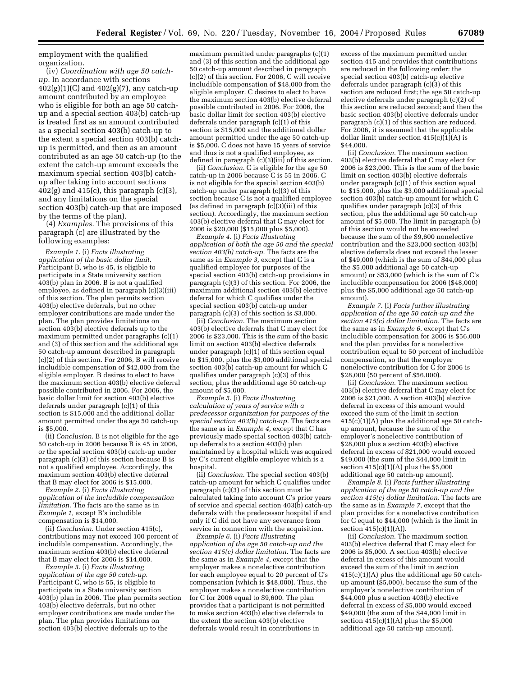employment with the qualified organization.

(iv) *Coordination with age 50 catchup.* In accordance with sections  $402(g)(1)(C)$  and  $402(g)(7)$ , any catch-up amount contributed by an employee who is eligible for both an age 50 catchup and a special section 403(b) catch-up is treated first as an amount contributed as a special section 403(b) catch-up to the extent a special section 403(b) catchup is permitted, and then as an amount contributed as an age 50 catch-up (to the extent the catch-up amount exceeds the maximum special section 403(b) catchup after taking into account sections  $402(g)$  and  $415(c)$ , this paragraph  $(c)(3)$ , and any limitations on the special section 403(b) catch-up that are imposed by the terms of the plan).

(4) *Examples.* The provisions of this paragraph (c) are illustrated by the following examples:

*Example 1.* (i) *Facts illustrating application of the basic dollar limit.* Participant B, who is 45, is eligible to participate in a State university section 403(b) plan in 2006. B is not a qualified employee, as defined in paragraph (c)(3)(iii) of this section. The plan permits section 403(b) elective deferrals, but no other employer contributions are made under the plan. The plan provides limitations on section 403(b) elective deferrals up to the maximum permitted under paragraphs (c)(1) and (3) of this section and the additional age 50 catch-up amount described in paragraph (c)(2) of this section. For 2006, B will receive includible compensation of \$42,000 from the eligible employer. B desires to elect to have the maximum section 403(b) elective deferral possible contributed in 2006. For 2006, the basic dollar limit for section 403(b) elective deferrals under paragraph (c)(1) of this section is \$15,000 and the additional dollar amount permitted under the age 50 catch-up is \$5,000.

(ii) *Conclusion.* B is not eligible for the age 50 catch-up in 2006 because B is 45 in 2006, or the special section 403(b) catch-up under paragraph (c)(3) of this section because B is not a qualified employee. Accordingly, the maximum section 403(b) elective deferral that B may elect for 2006 is \$15,000.

*Example 2.* (i) *Facts illustrating application of the includible compensation limitation.* The facts are the same as in *Example 1,* except B's includible compensation is \$14,000.

(ii) *Conclusion.* Under section 415(c), contributions may not exceed 100 percent of includible compensation. Accordingly, the maximum section 403(b) elective deferral that B may elect for 2006 is \$14,000.

*Example 3.* (i) *Facts illustrating application of the age 50 catch-up.* Participant C, who is 55, is eligible to participate in a State university section 403(b) plan in 2006. The plan permits section 403(b) elective deferrals, but no other employer contributions are made under the plan. The plan provides limitations on section 403(b) elective deferrals up to the

maximum permitted under paragraphs (c)(1) and (3) of this section and the additional age 50 catch-up amount described in paragraph (c)(2) of this section. For 2006, C will receive includible compensation of \$48,000 from the eligible employer. C desires to elect to have the maximum section 403(b) elective deferral possible contributed in 2006. For 2006, the basic dollar limit for section 403(b) elective deferrals under paragraph (c)(1) of this section is \$15,000 and the additional dollar amount permitted under the age 50 catch-up is \$5,000. C does not have 15 years of service and thus is not a qualified employee, as defined in paragraph (c)(3)(iii) of this section.

(ii) *Conclusion.* C is eligible for the age 50 catch-up in 2006 because C is 55 in 2006. C is not eligible for the special section 403(b) catch-up under paragraph (c)(3) of this section because C is not a qualified employee (as defined in paragraph  $(c)(3)(iii)$  of this section). Accordingly, the maximum section 403(b) elective deferral that C may elect for 2006 is \$20,000 (\$15,000 plus \$5,000).

*Example 4.* (i) *Facts illustrating application of both the age 50 and the special section 403(b) catch-up.* The facts are the same as in *Example 3,* except that C is a qualified employee for purposes of the special section 403(b) catch-up provisions in paragraph (c)(3) of this section. For 2006, the maximum additional section 403(b) elective deferral for which C qualifies under the special section 403(b) catch-up under paragraph (c)(3) of this section is \$3,000.

(ii) *Conclusion.* The maximum section 403(b) elective deferrals that C may elect for 2006 is \$23,000. This is the sum of the basic limit on section 403(b) elective deferrals under paragraph (c)(1) of this section equal to \$15,000, plus the \$3,000 additional special section 403(b) catch-up amount for which C qualifies under paragraph (c)(3) of this section, plus the additional age 50 catch-up amount of \$5,000.

*Example 5.* (i) *Facts illustrating calculation of years of service with a predecessor organization for purposes of the special section 403(b) catch-up.* The facts are the same as in *Example 4,* except that C has previously made special section 403(b) catchup deferrals to a section 403(b) plan maintained by a hospital which was acquired by C's current eligible employer which is a hospital.

(ii) *Conclusion.* The special section 403(b) catch-up amount for which C qualifies under paragraph (c)(3) of this section must be calculated taking into account C's prior years of service and special section 403(b) catch-up deferrals with the predecessor hospital if and only if C did not have any severance from service in connection with the acquisition.

*Example 6.* (i) *Facts illustrating application of the age 50 catch-up and the section 415(c) dollar limitation.* The facts are the same as in *Example 4,* except that the employer makes a nonelective contribution for each employee equal to 20 percent of C's compensation (which is \$48,000). Thus, the employer makes a nonelective contribution for C for 2006 equal to \$9,600. The plan provides that a participant is not permitted to make section 403(b) elective deferrals to the extent the section 403(b) elective deferrals would result in contributions in

excess of the maximum permitted under section 415 and provides that contributions are reduced in the following order: the special section 403(b) catch-up elective deferrals under paragraph (c)(3) of this section are reduced first; the age 50 catch-up elective deferrals under paragraph (c)(2) of this section are reduced second; and then the basic section 403(b) elective deferrals under paragraph (c)(1) of this section are reduced. For 2006, it is assumed that the applicable dollar limit under section 415(c)(1)(A) is \$44,000.

(ii) *Conclusion.* The maximum section 403(b) elective deferral that C may elect for 2006 is \$23,000. This is the sum of the basic limit on section 403(b) elective deferrals under paragraph (c)(1) of this section equal to \$15,000, plus the \$3,000 additional special section 403(b) catch-up amount for which C qualifies under paragraph (c)(3) of this section, plus the additional age 50 catch-up amount of \$5,000. The limit in paragraph (b) of this section would not be exceeded because the sum of the \$9,600 nonelective contribution and the \$23,000 section 403(b) elective deferrals does not exceed the lesser of \$49,000 (which is the sum of \$44,000 plus the \$5,000 additional age 50 catch-up amount) or \$53,000 (which is the sum of C's includible compensation for 2006 (\$48,000) plus the \$5,000 additional age 50 catch-up amount).

*Example 7.* (i) *Facts further illustrating application of the age 50 catch-up and the section 415(c) dollar limitation.* The facts are the same as in *Example 6*, except that C's includible compensation for 2006 is \$56,000 and the plan provides for a nonelective contribution equal to 50 percent of includible compensation, so that the employer nonelective contribution for C for 2006 is \$28,000 (50 percent of \$56,000).

(ii) *Conclusion.* The maximum section 403(b) elective deferral that C may elect for 2006 is \$21,000. A section 403(b) elective deferral in excess of this amount would exceed the sum of the limit in section 415(c)(1)(A) plus the additional age 50 catchup amount, because the sum of the employer's nonelective contribution of \$28,000 plus a section 403(b) elective deferral in excess of \$21,000 would exceed \$49,000 (the sum of the \$44,000 limit in section  $415(c)(1)(A)$  plus the \$5,000 additional age 50 catch-up amount).

*Example 8.* (i) *Facts further illustrating application of the age 50 catch-up and the section 415(c) dollar limitation.* The facts are the same as in *Example 7*, except that the plan provides for a nonelective contribution for C equal to \$44,000 (which is the limit in section  $415(c)(1)(A)$ .

(ii) *Conclusion.* The maximum section 403(b) elective deferral that C may elect for 2006 is \$5,000. A section 403(b) elective deferral in excess of this amount would exceed the sum of the limit in section 415(c)(1)(A) plus the additional age 50 catchup amount (\$5,000), because the sum of the employer's nonelective contribution of \$44,000 plus a section 403(b) elective deferral in excess of \$5,000 would exceed \$49,000 (the sum of the \$44,000 limit in section  $415(c)(1)(A)$  plus the \$5,000 additional age 50 catch-up amount).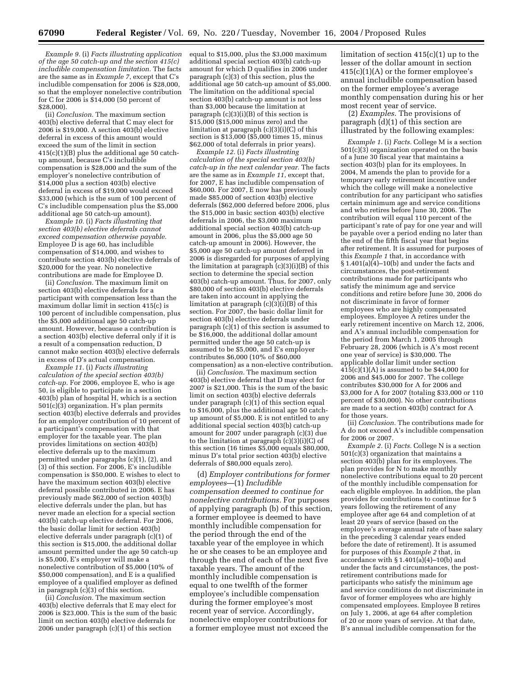*Example 9.* (i) *Facts illustrating application of the age 50 catch-up and the section 415(c) includible compensation limitation.* The facts are the same as in *Example 7*, except that C's includible compensation for 2006 is \$28,000, so that the employer nonelective contribution for C for 2006 is \$14,000 (50 percent of \$28,000).

(ii) *Conclusion.* The maximum section 403(b) elective deferral that C may elect for 2006 is \$19,000. A section 403(b) elective deferral in excess of this amount would exceed the sum of the limit in section 415(c)(1)(B) plus the additional age 50 catchup amount, because C's includible compensation is \$28,000 and the sum of the employer's nonelective contribution of \$14,000 plus a section 403(b) elective deferral in excess of \$19,000 would exceed \$33,000 (which is the sum of 100 percent of C's includible compensation plus the \$5,000 additional age 50 catch-up amount).

*Example 10.* (i) *Facts illustrating that section 403(b) elective deferrals cannot exceed compensation otherwise payable.* Employee  $\overline{D}$  is age 60, has includible compensation of \$14,000, and wishes to contribute section 403(b) elective deferrals of \$20,000 for the year. No nonelective contributions are made for Employee D.

(ii) *Conclusion.* The maximum limit on section 403(b) elective deferrals for a participant with compensation less than the maximum dollar limit in section 415(c) is 100 percent of includible compensation, plus the \$5,000 additional age 50 catch-up amount. However, because a contribution is a section 403(b) elective deferral only if it is a result of a compensation reduction, D cannot make section 403(b) elective deferrals in excess of D's actual compensation.

*Example 11.* (i) *Facts illustrating calculation of the special section 403(b) catch-up.* For 2006, employee E, who is age 50, is eligible to participate in a section 403(b) plan of hospital H, which is a section 501(c)(3) organization. H's plan permits section 403(b) elective deferrals and provides for an employer contribution of 10 percent of a participant's compensation with that employer for the taxable year. The plan provides limitations on section 403(b) elective deferrals up to the maximum permitted under paragraphs (c)(1), (2), and (3) of this section. For 2006, E's includible compensation is \$50,000. E wishes to elect to have the maximum section 403(b) elective deferral possible contributed in 2006. E has previously made \$62,000 of section 403(b) elective deferrals under the plan, but has never made an election for a special section 403(b) catch-up elective deferral. For 2006, the basic dollar limit for section 403(b) elective deferrals under paragraph (c)(1) of this section is \$15,000, the additional dollar amount permitted under the age 50 catch-up is \$5,000, E's employer will make a nonelective contribution of \$5,000 (10% of \$50,000 compensation), and E is a qualified employee of a qualified employer as defined in paragraph (c)(3) of this section.

(ii) *Conclusion.* The maximum section 403(b) elective deferrals that E may elect for 2006 is \$23,000. This is the sum of the basic limit on section 403(b) elective deferrals for 2006 under paragraph (c)(1) of this section

equal to \$15,000, plus the \$3,000 maximum additional special section 403(b) catch-up amount for which D qualifies in 2006 under paragraph (c)(3) of this section, plus the additional age 50 catch-up amount of \$5,000. The limitation on the additional special section 403(b) catch-up amount is not less than \$3,000 because the limitation at paragraph (c)(3)(i)(B) of this section is \$15,000 (\$15,000 minus zero) and the limitation at paragraph (c)(3)(i)(C) of this section is \$13,000 (\$5,000 times 15, minus \$62,000 of total deferrals in prior years).

*Example 12.* (i) *Facts illustrating calculation of the special section 403(b) catch-up in the next calendar year.* The facts are the same as in *Example 11*, except that, for 2007, E has includible compensation of \$60,000. For 2007, E now has previously made \$85,000 of section 403(b) elective deferrals (\$62,000 deferred before 2006, plus the \$15,000 in basic section 403(b) elective deferrals in 2006, the \$3,000 maximum additional special section 403(b) catch-up amount in 2006, plus the \$5,000 age 50 catch-up amount in 2006). However, the \$5,000 age 50 catch-up amount deferred in 2006 is disregarded for purposes of applying the limitation at paragraph  $(c)(3)(i)(B)$  of this section to determine the special section 403(b) catch-up amount. Thus, for 2007, only \$80,000 of section 403(b) elective deferrals are taken into account in applying the limitation at paragraph  $(c)(3)(i)(B)$  of this section. For 2007, the basic dollar limit for section 403(b) elective deferrals under paragraph (c)(1) of this section is assumed to be \$16,000, the additional dollar amount permitted under the age 50 catch-up is assumed to be \$5,000, and E's employer contributes \$6,000 (10% of \$60,000 compensation) as a non-elective contribution.

(ii) *Conclusion.* The maximum section 403(b) elective deferral that D may elect for 2007 is \$21,000. This is the sum of the basic limit on section 403(b) elective deferrals under paragraph (c)(1) of this section equal to \$16,000, plus the additional age 50 catchup amount of \$5,000. E is not entitled to any additional special section 403(b) catch-up amount for 2007 under paragraph (c)(3) due to the limitation at paragraph  $(c)(3)(i)(C)$  of this section (16 times \$5,000 equals \$80,000, minus D's total prior section 403(b) elective deferrals of \$80,000 equals zero).

(d) *Employer contributions for former employees*—(1) *Includible compensation deemed to continue for nonelective contributions.* For purposes of applying paragraph (b) of this section, a former employee is deemed to have monthly includible compensation for the period through the end of the taxable year of the employee in which he or she ceases to be an employee and through the end of each of the next five taxable years. The amount of the monthly includible compensation is equal to one twelfth of the former employee's includible compensation during the former employee's most recent year of service. Accordingly, nonelective employer contributions for a former employee must not exceed the

limitation of section 415(c)(1) up to the lesser of the dollar amount in section 415(c)(1)(A) or the former employee's annual includible compensation based on the former employee's average monthly compensation during his or her most recent year of service.

(2) *Examples.* The provisions of paragraph (d)(1) of this section are illustrated by the following examples:

*Example 1.* (i) *Facts.* College M is a section  $501(c)(3)$  organization operated on the basis of a June 30 fiscal year that maintains a section 403(b) plan for its employees. In 2004, M amends the plan to provide for a temporary early retirement incentive under which the college will make a nonelective contribution for any participant who satisfies certain minimum age and service conditions and who retires before June 30, 2006. The contribution will equal 110 percent of the participant's rate of pay for one year and will be payable over a period ending no later than the end of the fifth fiscal year that begins after retirement. It is assumed for purposes of this *Example 1* that, in accordance with  $§ 1.401(a)\hat{4}$ –10(b) and under the facts and circumstances, the post-retirement contributions made for participants who satisfy the minimum age and service conditions and retire before June 30, 2006 do not discriminate in favor of former employees who are highly compensated employees. Employee A retires under the early retirement incentive on March 12, 2006, and A's annual includible compensation for the period from March 1, 2005 through February 28, 2006 (which is A's most recent one year of service) is \$30,000. The applicable dollar limit under section  $415(c)(1)(A)$  is assumed to be \$44,000 for 2006 and \$45,000 for 2007. The college contributes \$30,000 for A for 2006 and \$3,000 for A for 2007 (totaling \$33,000 or 110 percent of \$30,000). No other contributions are made to a section 403(b) contract for A for those years.

(ii) *Conclusion.* The contributions made for A do not exceed A's includible compensation for 2006 or 2007.

*Example 2.* (i) *Facts.* College N is a section 501(c)(3) organization that maintains a section 403(b) plan for its employees. The plan provides for N to make monthly nonelective contributions equal to 20 percent of the monthly includible compensation for each eligible employee. In addition, the plan provides for contributions to continue for 5 years following the retirement of any employee after age 64 and completion of at least 20 years of service (based on the employee's average annual rate of base salary in the preceding 3 calendar years ended before the date of retirement). It is assumed for purposes of this *Example 2* that, in accordance with § 1.401(a)(4)–10(b) and under the facts and circumstances, the postretirement contributions made for participants who satisfy the minimum age and service conditions do not discriminate in favor of former employees who are highly compensated employees. Employee B retires on July 1, 2006, at age 64 after completion of 20 or more years of service. At that date, B's annual includible compensation for the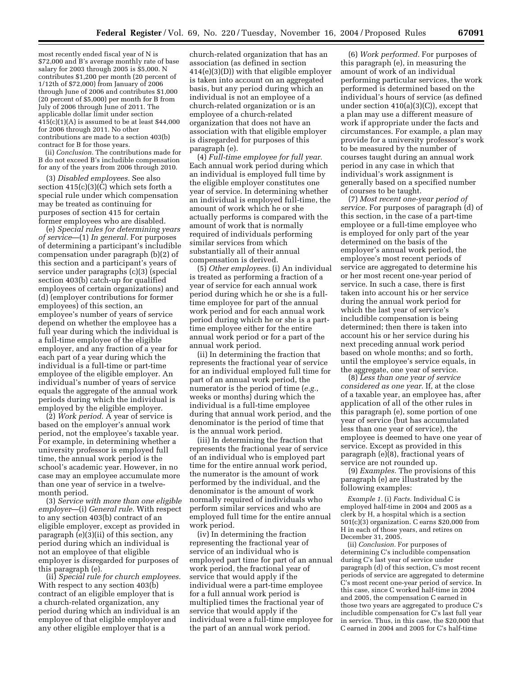most recently ended fiscal year of N is \$72,000 and B's average monthly rate of base salary for 2003 through 2005 is \$5,000. N contributes \$1,200 per month (20 percent of 1/12th of \$72,000) from January of 2006 through June of 2006 and contributes \$1,000 (20 percent of \$5,000) per month for B from July of 2006 through June of 2011. The applicable dollar limit under section  $415(c)(1)(A)$  is assumed to be at least \$44,000 for 2006 through 2011. No other contributions are made to a section 403(b) contract for B for those years.

(ii) *Conclusion.* The contributions made for B do not exceed B's includible compensation for any of the years from 2006 through 2010.

(3) *Disabled employees.* See also section 415(c)(3)(C) which sets forth a special rule under which compensation may be treated as continuing for purposes of section 415 for certain former employees who are disabled.

(e) *Special rules for determining years of service*—(1) *In general.* For purposes of determining a participant's includible compensation under paragraph (b)(2) of this section and a participant's years of service under paragraphs (c)(3) (special section 403(b) catch-up for qualified employees of certain organizations) and (d) (employer contributions for former employees) of this section, an employee's number of years of service depend on whether the employee has a full year during which the individual is a full-time employee of the eligible employer, and any fraction of a year for each part of a year during which the individual is a full-time or part-time employee of the eligible employer. An individual's number of years of service equals the aggregate of the annual work periods during which the individual is employed by the eligible employer.

(2) *Work period.* A year of service is based on the employer's annual work period, not the employee's taxable year. For example, in determining whether a university professor is employed full time, the annual work period is the school's academic year. However, in no case may an employee accumulate more than one year of service in a twelvemonth period.

(3) *Service with more than one eligible employer*—(i) *General rule.* With respect to any section 403(b) contract of an eligible employer, except as provided in paragraph (e)(3)(ii) of this section, any period during which an individual is not an employee of that eligible employer is disregarded for purposes of this paragraph (e).

(ii) *Special rule for church employees.* With respect to any section 403(b) contract of an eligible employer that is a church-related organization, any period during which an individual is an employee of that eligible employer and any other eligible employer that is a

church-related organization that has an association (as defined in section 414(e)(3)(D)) with that eligible employer is taken into account on an aggregated basis, but any period during which an individual is not an employee of a church-related organization or is an employee of a church-related organization that does not have an association with that eligible employer is disregarded for purposes of this paragraph (e).

(4) *Full-time employee for full year.* Each annual work period during which an individual is employed full time by the eligible employer constitutes one year of service. In determining whether an individual is employed full-time, the amount of work which he or she actually performs is compared with the amount of work that is normally required of individuals performing similar services from which substantially all of their annual compensation is derived.

(5) *Other employees.* (i) An individual is treated as performing a fraction of a year of service for each annual work period during which he or she is a fulltime employee for part of the annual work period and for each annual work period during which he or she is a parttime employee either for the entire annual work period or for a part of the annual work period.

(ii) In determining the fraction that represents the fractional year of service for an individual employed full time for part of an annual work period, the numerator is the period of time (*e.g.*, weeks or months) during which the individual is a full-time employee during that annual work period, and the denominator is the period of time that is the annual work period.

(iii) In determining the fraction that represents the fractional year of service of an individual who is employed part time for the entire annual work period, the numerator is the amount of work performed by the individual, and the denominator is the amount of work normally required of individuals who perform similar services and who are employed full time for the entire annual work period.

(iv) In determining the fraction representing the fractional year of service of an individual who is employed part time for part of an annual work period, the fractional year of service that would apply if the individual were a part-time employee for a full annual work period is multiplied times the fractional year of service that would apply if the individual were a full-time employee for the part of an annual work period.

(6) *Work performed.* For purposes of this paragraph (e), in measuring the amount of work of an individual performing particular services, the work performed is determined based on the individual's hours of service (as defined under section 410(a)(3)(C)), except that a plan may use a different measure of work if appropriate under the facts and circumstances. For example, a plan may provide for a university professor's work to be measured by the number of courses taught during an annual work period in any case in which that individual's work assignment is generally based on a specified number of courses to be taught.

(7) *Most recent one-year period of service.* For purposes of paragraph (d) of this section, in the case of a part-time employee or a full-time employee who is employed for only part of the year determined on the basis of the employer's annual work period, the employee's most recent periods of service are aggregated to determine his or her most recent one-year period of service. In such a case, there is first taken into account his or her service during the annual work period for which the last year of service's includible compensation is being determined; then there is taken into account his or her service during his next preceding annual work period based on whole months; and so forth, until the employee's service equals, in the aggregate, one year of service.

(8) *Less than one year of service considered as one year.* If, at the close of a taxable year, an employee has, after application of all of the other rules in this paragraph (e), some portion of one year of service (but has accumulated less than one year of service), the employee is deemed to have one year of service. Except as provided in this paragraph (e)(8), fractional years of service are not rounded up.

(9) *Examples.* The provisions of this paragraph (e) are illustrated by the following examples:

*Example 1.* (i) *Facts.* Individual C is employed half-time in 2004 and 2005 as a clerk by H, a hospital which is a section 501(c)(3) organization. C earns \$20,000 from H in each of those years, and retires on December 31, 2005.

(ii) *Conclusion.* For purposes of determining C's includible compensation during C's last year of service under paragraph (d) of this section, C's most recent periods of service are aggregated to determine C's most recent one-year period of service. In this case, since C worked half-time in 2004 and 2005, the compensation C earned in those two years are aggregated to produce C's includible compensation for C's last full year in service. Thus, in this case, the \$20,000 that C earned in 2004 and 2005 for C's half-time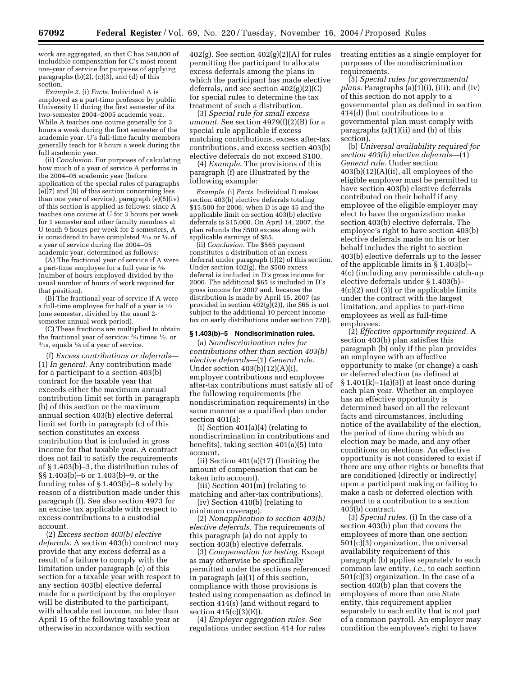work are aggregated, so that C has \$40,000 of includible compensation for C's most recent one-year of service for purposes of applying paragraphs (b)(2), (c)(3), and (d) of this section.

*Example 2.* (i) *Facts.* Individual A is employed as a part-time professor by public University U during the first semester of its two-semester 2004–2005 academic year. While A teaches one course generally for 3 hours a week during the first semester of the academic year, U's full-time faculty members generally teach for 9 hours a week during the full academic year.

(ii) *Conclusion.* For purposes of calculating how much of a year of service A performs in the 2004–05 academic year (before application of the special rules of paragraphs  $(e)(7)$  and  $(8)$  of this section concerning less than one year of service), paragraph (e)(5)(iv) of this section is applied as follows: since A teaches one course at U for 3 hours per week for 1 semester and other faculty members at U teach 9 hours per week for 2 semesters, A is considered to have completed 3⁄18 or 1⁄6 of a year of service during the 2004–05 academic year, determined as follows:

(A) The fractional year of service if A were a part-time employee for a full year is 3⁄9 (number of hours employed divided by the usual number of hours of work required for that position).

(B) The fractional year of service if A were a full-time employee for half of a year is  $\frac{1}{2}$ (one semester, divided by the usual 2 semester annual work period).

(C) These fractions are multiplied to obtain the fractional year of service:  $\frac{3}{9}$  times  $\frac{1}{2}$ , or  $\frac{3}{18}$ , equals  $\frac{1}{6}$  of a year of service.

(f) *Excess contributions or deferrals*— (1) *In general.* Any contribution made for a participant to a section 403(b) contract for the taxable year that exceeds either the maximum annual contribution limit set forth in paragraph (b) of this section or the maximum annual section 403(b) elective deferral limit set forth in paragraph (c) of this section constitutes an excess contribution that is included in gross income for that taxable year. A contract does not fail to satisfy the requirements of § 1.403(b)–3, the distribution rules of §§ 1.403(b)–6 or 1.403(b)–9, or the funding rules of § 1.403(b)–8 solely by reason of a distribution made under this paragraph (f). See also section 4973 for an excise tax applicable with respect to excess contributions to a custodial account.

(2) *Excess section 403(b) elective deferrals.* A section 403(b) contract may provide that any excess deferral as a result of a failure to comply with the limitation under paragraph (c) of this section for a taxable year with respect to any section 403(b) elective deferral made for a participant by the employer will be distributed to the participant, with allocable net income, no later than April 15 of the following taxable year or otherwise in accordance with section

402(g). See section  $402(g)(2)(A)$  for rules permitting the participant to allocate excess deferrals among the plans in which the participant has made elective deferrals, and see section 402(g)(2)(C) for special rules to determine the tax treatment of such a distribution.

(3) *Special rule for small excess amount.* See section 4979(f)(2)(B) for a special rule applicable if excess matching contributions, excess after-tax contributions, and excess section 403(b) elective deferrals do not exceed \$100.

(4) *Example*. The provisions of this paragraph (f) are illustrated by the following example:

*Example.* (i) *Facts.* Individual D makes section 403(b) elective deferrals totaling \$15,500 for 2006, when D is age 45 and the applicable limit on section 403(b) elective deferrals is \$15,000. On April 14, 2007, the plan refunds the \$500 excess along with applicable earnings of \$65.

(ii) *Conclusion.* The \$565 payment constitutes a distribution of an excess deferral under paragraph (f)(2) of this section. Under section 402(g), the \$500 excess deferral is included in D's gross income for 2006. The additional \$65 is included in D's gross income for 2007 and, because the distribution is made by April 15, 2007 (as provided in section  $402(g)(2)$ , the \$65 is not subject to the additional 10 percent income tax on early distributions under section 72(t).

# **§ 1.403(b)–5 Nondiscrimination rules.**

(a) *Nondiscrimination rules for contributions other than section 403(b) elective deferrals*—(1) *General rule.* Under section 403(b)(12)(A)(i), employer contributions and employee after-tax contributions must satisfy all of the following requirements (the nondiscrimination requirements) in the same manner as a qualified plan under section 401(a):

(i) Section 401(a)(4) (relating to nondiscrimination in contributions and benefits), taking section 401(a)(5) into account.

(ii) Section 401(a)(17) (limiting the amount of compensation that can be taken into account).

(iii) Section 401(m) (relating to matching and after-tax contributions).

(iv) Section 410(b) (relating to minimum coverage).

(2) *Nonapplication to section 403(b) elective deferrals.* The requirements of this paragraph (a) do not apply to section 403(b) elective deferrals.

(3) *Compensation for testing.* Except as may otherwise be specifically permitted under the sections referenced in paragraph (a)(1) of this section, compliance with those provisions is tested using compensation as defined in section 414(s) (and without regard to section 415(c)(3)(E)).

(4) *Employer aggregation rules.* See regulations under section 414 for rules treating entities as a single employer for purposes of the nondiscrimination requirements.

(5) *Special rules for governmental plans.* Paragraphs (a)(1)(i), (iii), and (iv) of this section do not apply to a governmental plan as defined in section 414(d) (but contributions to a governmental plan must comply with paragraphs (a)(1)(ii) and (b) of this section).

(b) *Universal availability required for section 403(b) elective deferrals*—(1) *General rule.* Under section 403(b)(12)(A)(ii), all employees of the eligible employer must be permitted to have section 403(b) elective deferrals contributed on their behalf if any employee of the eligible employer may elect to have the organization make section 403(b) elective deferrals. The employee's right to have section 403(b) elective deferrals made on his or her behalf includes the right to section 403(b) elective deferrals up to the lesser of the applicable limits in § 1.403(b)– 4(c) (including any permissible catch-up elective deferrals under § 1.403(b)– 4(c)(2) and (3)) or the applicable limits under the contract with the largest limitation, and applies to part-time employees as well as full-time employees.

(2) *Effective opportunity required.* A section 403(b) plan satisfies this paragraph (b) only if the plan provides an employee with an effective opportunity to make (or change) a cash or deferred election (as defined at  $\S 1.401(k)-1(a)(3)$  at least once during each plan year. Whether an employee has an effective opportunity is determined based on all the relevant facts and circumstances, including notice of the availability of the election, the period of time during which an election may be made, and any other conditions on elections. An effective opportunity is not considered to exist if there are any other rights or benefits that are conditioned (directly or indirectly) upon a participant making or failing to make a cash or deferred election with respect to a contribution to a section 403(b) contract.

(3) *Special rules.* (i) In the case of a section 403(b) plan that covers the employees of more than one section 501(c)(3) organization, the universal availability requirement of this paragraph (b) applies separately to each common law entity, *i.e.*, to each section 501(c)(3) organization. In the case of a section 403(b) plan that covers the employees of more than one State entity, this requirement applies separately to each entity that is not part of a common payroll. An employer may condition the employee's right to have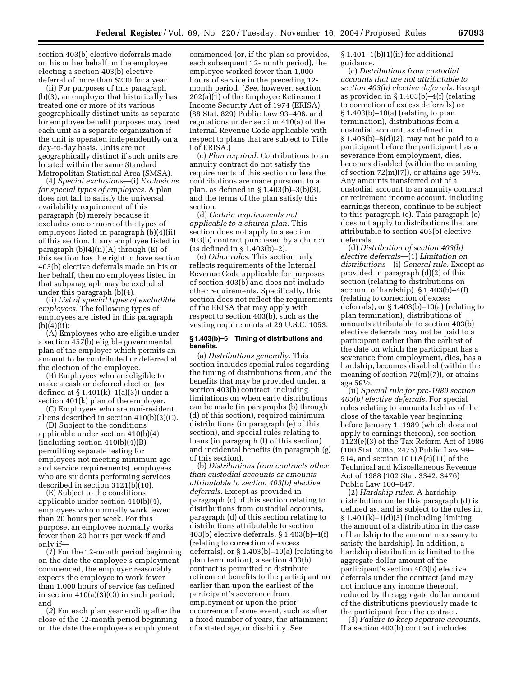section 403(b) elective deferrals made on his or her behalf on the employee electing a section 403(b) elective deferral of more than \$200 for a year.

(ii) For purposes of this paragraph (b)(3), an employer that historically has treated one or more of its various geographically distinct units as separate for employee benefit purposes may treat each unit as a separate organization if the unit is operated independently on a day-to-day basis. Units are not geographically distinct if such units are located within the same Standard Metropolitan Statistical Area (SMSA).

(4) *Special exclusions*—(i) *Exclusions for special types of employees.* A plan does not fail to satisfy the universal availability requirement of this paragraph (b) merely because it excludes one or more of the types of employees listed in paragraph (b)(4)(ii) of this section. If any employee listed in paragraph  $(b)(4)(ii)(A)$  through  $(E)$  of this section has the right to have section 403(b) elective deferrals made on his or her behalf, then no employees listed in that subparagraph may be excluded under this paragraph (b)(4).

(ii) *List of special types of excludible employees.* The following types of employees are listed in this paragraph  $(b)(4)(ii):$ 

(A) Employees who are eligible under a section 457(b) eligible governmental plan of the employer which permits an amount to be contributed or deferred at the election of the employee.

(B) Employees who are eligible to make a cash or deferred election (as defined at § 1.401(k)–1(a)(3)) under a section 401(k) plan of the employer.

(C) Employees who are non-resident aliens described in section 410(b)(3)(C).

(D) Subject to the conditions applicable under section 410(b)(4) (including section 410(b)(4)(B) permitting separate testing for employees not meeting minimum age and service requirements), employees who are students performing services described in section 3121(b)(10).

(E) Subject to the conditions applicable under section 410(b)(4), employees who normally work fewer than 20 hours per week. For this purpose, an employee normally works fewer than 20 hours per week if and only if—

(*1*) For the 12-month period beginning on the date the employee's employment commenced, the employer reasonably expects the employee to work fewer than 1,000 hours of service (as defined in section 410(a)(3)(C)) in such period; and

(*2*) For each plan year ending after the close of the 12-month period beginning on the date the employee's employment

commenced (or, if the plan so provides, each subsequent 12-month period), the employee worked fewer than 1,000 hours of service in the preceding 12 month period. (*See*, however, section 202(a)(1) of the Employee Retirement Income Security Act of 1974 (ERISA) (88 Stat. 829) Public Law 93–406, and regulations under section 410(a) of the Internal Revenue Code applicable with respect to plans that are subject to Title I of ERISA.)

(c) *Plan required.* Contributions to an annuity contract do not satisfy the requirements of this section unless the contributions are made pursuant to a plan, as defined in § 1.403(b)–3(b)(3), and the terms of the plan satisfy this section.

(d) *Certain requirements not applicable to a church plan.* This section does not apply to a section 403(b) contract purchased by a church (as defined in § 1.403(b)–2).

(e) *Other rules.* This section only reflects requirements of the Internal Revenue Code applicable for purposes of section 403(b) and does not include other requirements. Specifically, this section does not reflect the requirements of the ERISA that may apply with respect to section 403(b), such as the vesting requirements at 29 U.S.C. 1053.

### **§ 1.403(b)–6 Timing of distributions and benefits.**

(a) *Distributions generally.* This section includes special rules regarding the timing of distributions from, and the benefits that may be provided under, a section 403(b) contract, including limitations on when early distributions can be made (in paragraphs (b) through (d) of this section), required minimum distributions (in paragraph (e) of this section), and special rules relating to loans (in paragraph (f) of this section) and incidental benefits (in paragraph (g) of this section).

(b) *Distributions from contracts other than custodial accounts or amounts attributable to section 403(b) elective deferrals.* Except as provided in paragraph (c) of this section relating to distributions from custodial accounts, paragraph (d) of this section relating to distributions attributable to section 403(b) elective deferrals, § 1.403(b)–4(f) (relating to correction of excess deferrals), or § 1.403(b)–10(a) (relating to plan termination), a section 403(b) contract is permitted to distribute retirement benefits to the participant no earlier than upon the earliest of the participant's severance from employment or upon the prior occurrence of some event, such as after a fixed number of years, the attainment of a stated age, or disability. See

 $§ 1.401-1(b)(1)(ii)$  for additional guidance.

(c) *Distributions from custodial accounts that are not attributable to section 403(b) elective deferrals.* Except as provided in § 1.403(b)–4(f) (relating to correction of excess deferrals) or § 1.403(b)–10(a) (relating to plan termination), distributions from a custodial account, as defined in § 1.403(b)–8(d)(2), may not be paid to a participant before the participant has a severance from employment, dies, becomes disabled (within the meaning of section  $72(m)(7)$ , or attains age  $59\frac{1}{2}$ . Any amounts transferred out of a custodial account to an annuity contract or retirement income account, including earnings thereon, continue to be subject to this paragraph (c). This paragraph (c) does not apply to distributions that are attributable to section 403(b) elective deferrals.

(d) *Distribution of section 403(b) elective deferrals*—(1) *Limitation on distributions*—(i) *General rule.* Except as provided in paragraph (d)(2) of this section (relating to distributions on account of hardship), § 1.403(b)–4(f) (relating to correction of excess deferrals), or § 1.403(b)–10(a) (relating to plan termination), distributions of amounts attributable to section 403(b) elective deferrals may not be paid to a participant earlier than the earliest of the date on which the participant has a severance from employment, dies, has a hardship, becomes disabled (within the meaning of section  $72(m)(7)$ , or attains age  $59\frac{1}{2}$ .

(ii) *Special rule for pre-1989 section 403(b) elective deferrals.* For special rules relating to amounts held as of the close of the taxable year beginning before January 1, 1989 (which does not apply to earnings thereon), see section 1123(e)(3) of the Tax Reform Act of 1986 (100 Stat. 2085, 2475) Public Law 99– 514, and section 1011A(c)(11) of the Technical and Miscellaneous Revenue Act of 1988 (102 Stat. 3342, 3476) Public Law 100–647.

(2) *Hardship rules.* A hardship distribution under this paragraph (d) is defined as, and is subject to the rules in,  $§ 1.401(k)-1(d)(3)$  (including limiting the amount of a distribution in the case of hardship to the amount necessary to satisfy the hardship). In addition, a hardship distribution is limited to the aggregate dollar amount of the participant's section 403(b) elective deferrals under the contract (and may not include any income thereon), reduced by the aggregate dollar amount of the distributions previously made to the participant from the contract.

(3) *Failure to keep separate accounts.* If a section 403(b) contract includes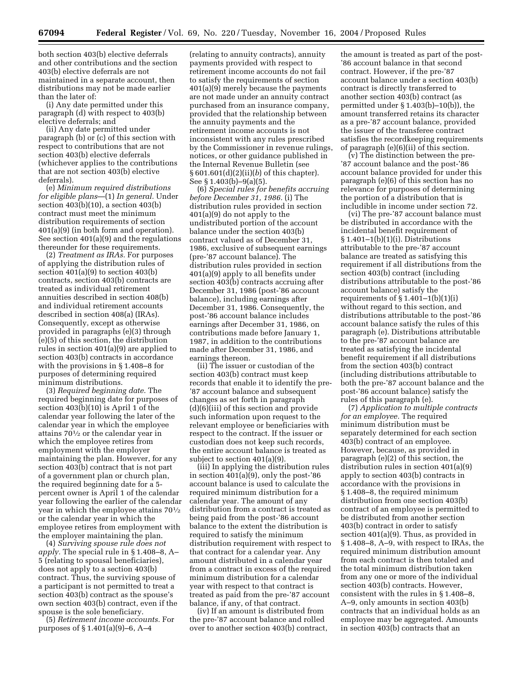both section 403(b) elective deferrals and other contributions and the section 403(b) elective deferrals are not maintained in a separate account, then distributions may not be made earlier than the later of:

(i) Any date permitted under this paragraph (d) with respect to 403(b) elective deferrals; and

(ii) Any date permitted under paragraph (b) or (c) of this section with respect to contributions that are not section 403(b) elective deferrals (whichever applies to the contributions that are not section 403(b) elective deferrals).

(e) *Minimum required distributions for eligible plans*—(1) *In general.* Under section 403(b)(10), a section 403(b) contract must meet the minimum distribution requirements of section 401(a)(9) (in both form and operation). See section 401(a)(9) and the regulations thereunder for these requirements.

(2) *Treatment as IRAs.* For purposes of applying the distribution rules of section 401(a)(9) to section 403(b) contracts, section 403(b) contracts are treated as individual retirement annuities described in section 408(b) and individual retirement accounts described in section 408(a) (IRAs). Consequently, except as otherwise provided in paragraphs (e)(3) through (e)(5) of this section, the distribution rules in section 401(a)(9) are applied to section 403(b) contracts in accordance with the provisions in § 1.408–8 for purposes of determining required minimum distributions.

(3) *Required beginning date.* The required beginning date for purposes of section  $403(b)(10)$  is April 1 of the calendar year following the later of the calendar year in which the employee attains 701⁄2 or the calendar year in which the employee retires from employment with the employer maintaining the plan. However, for any section 403(b) contract that is not part of a government plan or church plan, the required beginning date for a 5 percent owner is April 1 of the calendar year following the earlier of the calendar year in which the employee attains 701⁄2 or the calendar year in which the employee retires from employment with the employer maintaining the plan.

(4) *Surviving spouse rule does not apply.* The special rule in § 1.408–8, A– 5 (relating to spousal beneficiaries), does not apply to a section 403(b) contract. Thus, the surviving spouse of a participant is not permitted to treat a section 403(b) contract as the spouse's own section 403(b) contract, even if the spouse is the sole beneficiary.

(5) *Retirement income accounts.* For purposes of § 1.401(a)(9)–6, A–4

(relating to annuity contracts), annuity payments provided with respect to retirement income accounts do not fail to satisfy the requirements of section 401(a)(9) merely because the payments are not made under an annuity contract purchased from an insurance company, provided that the relationship between the annuity payments and the retirement income accounts is not inconsistent with any rules prescribed by the Commissioner in revenue rulings, notices, or other guidance published in the Internal Revenue Bulletin (see § 601.601(d)(2)(ii)(*b*) of this chapter). See § 1.403(b)–9(a)(5).

(6) *Special rules for benefits accruing before December 31, 1986.* (i) The distribution rules provided in section 401(a)(9) do not apply to the undistributed portion of the account balance under the section 403(b) contract valued as of December 31, 1986, exclusive of subsequent earnings (pre-'87 account balance). The distribution rules provided in section 401(a)(9) apply to all benefits under section 403(b) contracts accruing after December 31, 1986 (post-'86 account balance), including earnings after December 31, 1986. Consequently, the post-'86 account balance includes earnings after December 31, 1986, on contributions made before January 1, 1987, in addition to the contributions made after December 31, 1986, and earnings thereon.

(ii) The issuer or custodian of the section 403(b) contract must keep records that enable it to identify the pre- '87 account balance and subsequent changes as set forth in paragraph (d)(6)(iii) of this section and provide such information upon request to the relevant employee or beneficiaries with respect to the contract. If the issuer or custodian does not keep such records, the entire account balance is treated as subject to section 401(a)(9).

(iii) In applying the distribution rules in section 401(a)(9), only the post-'86 account balance is used to calculate the required minimum distribution for a calendar year. The amount of any distribution from a contract is treated as being paid from the post-'86 account balance to the extent the distribution is required to satisfy the minimum distribution requirement with respect to that contract for a calendar year. Any amount distributed in a calendar year from a contract in excess of the required minimum distribution for a calendar year with respect to that contract is treated as paid from the pre-'87 account balance, if any, of that contract.

(iv) If an amount is distributed from the pre-'87 account balance and rolled over to another section 403(b) contract,

the amount is treated as part of the post- '86 account balance in that second contract. However, if the pre-'87 account balance under a section 403(b) contract is directly transferred to another section 403(b) contract (as permitted under § 1.403(b)–10(b)), the amount transferred retains its character as a pre-'87 account balance, provided the issuer of the transferee contract satisfies the recordkeeping requirements of paragraph (e)(6)(ii) of this section.

(v) The distinction between the pre- '87 account balance and the post-'86 account balance provided for under this paragraph (e)(6) of this section has no relevance for purposes of determining the portion of a distribution that is includible in income under section 72.

(vi) The pre-'87 account balance must be distributed in accordance with the incidental benefit requirement of § 1.401–1(b)(1)(i). Distributions attributable to the pre-'87 account balance are treated as satisfying this requirement if all distributions from the section 403(b) contract (including distributions attributable to the post-'86 account balance) satisfy the requirements of  $\S 1.401-1(b)(1)(i)$ without regard to this section, and distributions attributable to the post-'86 account balance satisfy the rules of this paragraph (e). Distributions attributable to the pre-'87 account balance are treated as satisfying the incidental benefit requirement if all distributions from the section 403(b) contract (including distributions attributable to both the pre-'87 account balance and the post-'86 account balance) satisfy the rules of this paragraph (e).

(7) *Application to multiple contracts for an employee.* The required minimum distribution must be separately determined for each section 403(b) contract of an employee. However, because, as provided in paragraph (e)(2) of this section, the distribution rules in section 401(a)(9) apply to section 403(b) contracts in accordance with the provisions in § 1.408–8, the required minimum distribution from one section 403(b) contract of an employee is permitted to be distributed from another section 403(b) contract in order to satisfy section 401(a)(9). Thus, as provided in § 1.408–8, A–9, with respect to IRAs, the required minimum distribution amount from each contract is then totaled and the total minimum distribution taken from any one or more of the individual section 403(b) contracts. However, consistent with the rules in § 1.408–8, A–9, only amounts in section 403(b) contracts that an individual holds as an employee may be aggregated. Amounts in section 403(b) contracts that an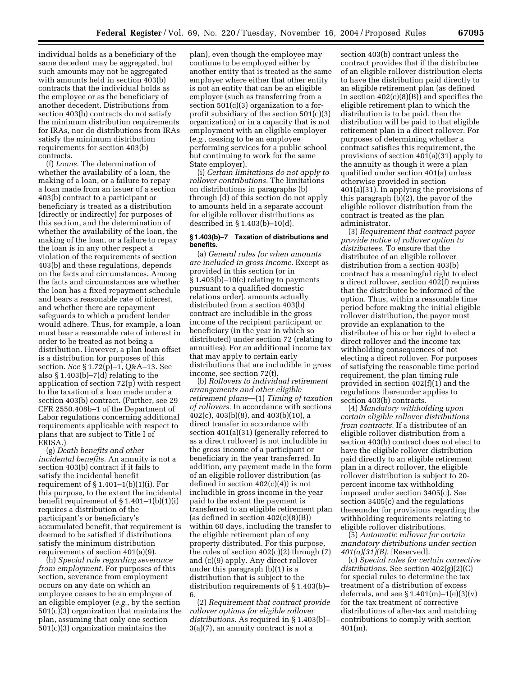individual holds as a beneficiary of the same decedent may be aggregated, but such amounts may not be aggregated with amounts held in section 403(b) contracts that the individual holds as the employee or as the beneficiary of another decedent. Distributions from section 403(b) contracts do not satisfy the minimum distribution requirements for IRAs, nor do distributions from IRAs satisfy the minimum distribution requirements for section 403(b) contracts.

(f) *Loans.* The determination of whether the availability of a loan, the making of a loan, or a failure to repay a loan made from an issuer of a section 403(b) contract to a participant or beneficiary is treated as a distribution (directly or indirectly) for purposes of this section, and the determination of whether the availability of the loan, the making of the loan, or a failure to repay the loan is in any other respect a violation of the requirements of section 403(b) and these regulations, depends on the facts and circumstances. Among the facts and circumstances are whether the loan has a fixed repayment schedule and bears a reasonable rate of interest, and whether there are repayment safeguards to which a prudent lender would adhere. Thus, for example, a loan must bear a reasonable rate of interest in order to be treated as not being a distribution. However, a plan loan offset is a distribution for purposes of this section. *See* § 1.72(p)–1, Q&A–13. See also § 1.403(b)–7(d) relating to the application of section 72(p) with respect to the taxation of a loan made under a section 403(b) contract. (Further, see 29 CFR 2550.408b–1 of the Department of Labor regulations concerning additional requirements applicable with respect to plans that are subject to Title I of ERISA.)

(g) *Death benefits and other incidental benefits.* An annuity is not a section 403(b) contract if it fails to satisfy the incidental benefit requirement of  $\S 1.401-1(b)(1)(i)$ . For this purpose, to the extent the incidental benefit requirement of § 1.401–1(b)(1)(i) requires a distribution of the participant's or beneficiary's accumulated benefit, that requirement is deemed to be satisfied if distributions satisfy the minimum distribution requirements of section 401(a)(9).

(h) *Special rule regarding severance from employment.* For purposes of this section, severance from employment occurs on any date on which an employee ceases to be an employee of an eligible employer (*e.g.*, by the section 501(c)(3) organization that maintains the plan, assuming that only one section 501(c)(3) organization maintains the

plan), even though the employee may continue to be employed either by another entity that is treated as the same employer where either that other entity is not an entity that can be an eligible employer (such as transferring from a section 501(c)(3) organization to a forprofit subsidiary of the section 501(c)(3) organization) or in a capacity that is not employment with an eligible employer (*e.g.*, ceasing to be an employee performing services for a public school but continuing to work for the same State employer).

(i) *Certain limitations do not apply to rollover contributions.* The limitations on distributions in paragraphs (b) through (d) of this section do not apply to amounts held in a separate account for eligible rollover distributions as described in § 1.403(b)–10(d).

#### **§ 1.403(b)–7 Taxation of distributions and benefits.**

(a) *General rules for when amounts are included in gross income.* Except as provided in this section (or in § 1.403(b)–10(c) relating to payments pursuant to a qualified domestic relations order), amounts actually distributed from a section 403(b) contract are includible in the gross income of the recipient participant or beneficiary (in the year in which so distributed) under section 72 (relating to annuities). For an additional income tax that may apply to certain early distributions that are includible in gross income, see section 72(t).

(b) *Rollovers to individual retirement arrangements and other eligible retirement plans*—(1) *Timing of taxation of rollovers.* In accordance with sections 402(c), 403(b)(8), and 403(b)(10), a direct transfer in accordance with section 401(a)(31) (generally referred to as a direct rollover) is not includible in the gross income of a participant or beneficiary in the year transferred. In addition, any payment made in the form of an eligible rollover distribution (as defined in section  $402(c)(4)$  is not includible in gross income in the year paid to the extent the payment is transferred to an eligible retirement plan (as defined in section  $402(c)(8)(B)$ ) within 60 days, including the transfer to the eligible retirement plan of any property distributed. For this purpose, the rules of section 402(c)(2) through (7) and (c)(9) apply. Any direct rollover under this paragraph (b)(1) is a distribution that is subject to the distribution requirements of § 1.403(b)– 6.

(2) *Requirement that contract provide rollover options for eligible rollover distributions.* As required in § 1.403(b)–  $3(a)(7)$ , an annuity contract is not a

section 403(b) contract unless the contract provides that if the distributee of an eligible rollover distribution elects to have the distribution paid directly to an eligible retirement plan (as defined in section 402(c)(8)(B)) and specifies the eligible retirement plan to which the distribution is to be paid, then the distribution will be paid to that eligible retirement plan in a direct rollover. For purposes of determining whether a contract satisfies this requirement, the provisions of section 401(a)(31) apply to the annuity as though it were a plan qualified under section 401(a) unless otherwise provided in section 401(a)(31). In applying the provisions of this paragraph (b)(2), the payor of the eligible rollover distribution from the contract is treated as the plan administrator.

(3) *Requirement that contract payor provide notice of rollover option to distributees.* To ensure that the distributee of an eligible rollover distribution from a section 403(b) contract has a meaningful right to elect a direct rollover, section 402(f) requires that the distributee be informed of the option. Thus, within a reasonable time period before making the initial eligible rollover distribution, the payor must provide an explanation to the distributee of his or her right to elect a direct rollover and the income tax withholding consequences of not electing a direct rollover. For purposes of satisfying the reasonable time period requirement, the plan timing rule provided in section 402(f)(1) and the regulations thereunder applies to section 403(b) contracts.

(4) *Mandatory withholding upon certain eligible rollover distributions from contracts.* If a distributee of an eligible rollover distribution from a section 403(b) contract does not elect to have the eligible rollover distribution paid directly to an eligible retirement plan in a direct rollover, the eligible rollover distribution is subject to 20 percent income tax withholding imposed under section 3405(c). See section 3405(c) and the regulations thereunder for provisions regarding the withholding requirements relating to eligible rollover distributions.

(5) *Automatic rollover for certain mandatory distributions under section 401(a)(31)(B).* [Reserved].

(c) *Special rules for certain corrective distributions.* See section 402(g)(2)(C) for special rules to determine the tax treatment of a distribution of excess deferrals, and see  $\S 1.401(m)-1(e)(3)(v)$ for the tax treatment of corrective distributions of after-tax and matching contributions to comply with section 401(m).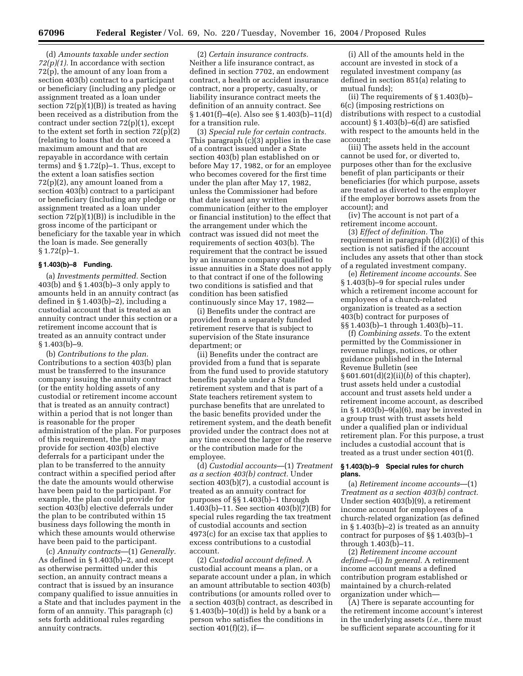(d) *Amounts taxable under section 72(p)(1).* In accordance with section 72(p), the amount of any loan from a section 403(b) contract to a participant or beneficiary (including any pledge or assignment treated as a loan under section  $72(p)(1)(B)$  is treated as having been received as a distribution from the contract under section 72(p)(1), except to the extent set forth in section  $72(p)(2)$ (relating to loans that do not exceed a maximum amount and that are repayable in accordance with certain terms) and § 1.72(p)–1. Thus, except to the extent a loan satisfies section 72(p)(2), any amount loaned from a section 403(b) contract to a participant or beneficiary (including any pledge or assignment treated as a loan under section  $72(p)(1)(B)$  is includible in the gross income of the participant or beneficiary for the taxable year in which the loan is made. See generally  $§ 1.72(p)-1.$ 

# **§ 1.403(b)–8 Funding.**

(a) *Investments permitted.* Section 403(b) and § 1.403(b)–3 only apply to amounts held in an annuity contract (as defined in  $\S 1.403(b)-2$ , including a custodial account that is treated as an annuity contract under this section or a retirement income account that is treated as an annuity contract under  $§ 1.403(b)-9.$ 

(b) *Contributions to the plan.* Contributions to a section 403(b) plan must be transferred to the insurance company issuing the annuity contract (or the entity holding assets of any custodial or retirement income account that is treated as an annuity contract) within a period that is not longer than is reasonable for the proper administration of the plan. For purposes of this requirement, the plan may provide for section 403(b) elective deferrals for a participant under the plan to be transferred to the annuity contract within a specified period after the date the amounts would otherwise have been paid to the participant. For example, the plan could provide for section 403(b) elective deferrals under the plan to be contributed within 15 business days following the month in which these amounts would otherwise have been paid to the participant.

(c) *Annuity contracts*—(1) *Generally.* As defined in § 1.403(b)–2, and except as otherwise permitted under this section, an annuity contract means a contract that is issued by an insurance company qualified to issue annuities in a State and that includes payment in the form of an annuity. This paragraph (c) sets forth additional rules regarding annuity contracts.

(2) *Certain insurance contracts.* Neither a life insurance contract, as defined in section 7702, an endowment contract, a health or accident insurance contract, nor a property, casualty, or liability insurance contract meets the definition of an annuity contract. See § 1.401(f)–4(e). Also see § 1.403(b)–11(d) for a transition rule.

(3) *Special rule for certain contracts.* This paragraph (c)(3) applies in the case of a contract issued under a State section 403(b) plan established on or before May 17, 1982, or for an employee who becomes covered for the first time under the plan after May 17, 1982, unless the Commissioner had before that date issued any written communication (either to the employer or financial institution) to the effect that the arrangement under which the contract was issued did not meet the requirements of section 403(b). The requirement that the contract be issued by an insurance company qualified to issue annuities in a State does not apply to that contract if one of the following two conditions is satisfied and that condition has been satisfied continuously since May 17, 1982—

(i) Benefits under the contract are provided from a separately funded retirement reserve that is subject to supervision of the State insurance department; or

(ii) Benefits under the contract are provided from a fund that is separate from the fund used to provide statutory benefits payable under a State retirement system and that is part of a State teachers retirement system to purchase benefits that are unrelated to the basic benefits provided under the retirement system, and the death benefit provided under the contract does not at any time exceed the larger of the reserve or the contribution made for the employee.

(d) *Custodial accounts*—(1) *Treatment as a section 403(b) contract.* Under section 403(b)(7), a custodial account is treated as an annuity contract for purposes of §§ 1.403(b)–1 through 1.403(b)–11. See section 403(b)(7)(B) for special rules regarding the tax treatment of custodial accounts and section 4973(c) for an excise tax that applies to excess contributions to a custodial account.

(2) *Custodial account defined.* A custodial account means a plan, or a separate account under a plan, in which an amount attributable to section 403(b) contributions (or amounts rolled over to a section 403(b) contract, as described in § 1.403(b)–10(d)) is held by a bank or a person who satisfies the conditions in section  $401(f)(2)$ , if-

(i) All of the amounts held in the account are invested in stock of a regulated investment company (as defined in section 851(a) relating to mutual funds);

(ii) The requirements of § 1.403(b)– 6(c) (imposing restrictions on distributions with respect to a custodial account) § 1.403(b)–6(d) are satisfied with respect to the amounts held in the account;

(iii) The assets held in the account cannot be used for, or diverted to, purposes other than for the exclusive benefit of plan participants or their beneficiaries (for which purpose, assets are treated as diverted to the employer if the employer borrows assets from the account); and

(iv) The account is not part of a retirement income account.

(3) *Effect of definition.* The requirement in paragraph (d)(2)(i) of this section is not satisfied if the account includes any assets that other than stock of a regulated investment company.

(e) *Retirement income accounts.* See § 1.403(b)–9 for special rules under which a retirement income account for employees of a church-related organization is treated as a section 403(b) contract for purposes of §§ 1.403(b)–1 through 1.403(b)–11.

(f) *Combining assets.* To the extent permitted by the Commissioner in revenue rulings, notices, or other guidance published in the Internal Revenue Bulletin (see § 601.601(d)(2)(ii)(*b*) of this chapter), trust assets held under a custodial account and trust assets held under a retirement income account, as described in § 1.403(b)–9(a)(6), may be invested in a group trust with trust assets held under a qualified plan or individual retirement plan. For this purpose, a trust includes a custodial account that is treated as a trust under section 401(f).

#### **§ 1.403(b)–9 Special rules for church plans.**

(a) *Retirement income accounts*—(1) *Treatment as a section 403(b) contract.* Under section 403(b)(9), a retirement income account for employees of a church-related organization (as defined in § 1.403(b)–2) is treated as an annuity contract for purposes of §§ 1.403(b)–1 through 1.403(b)–11.

(2) *Retirement income account defined*—(i) *In general.* A retirement income account means a defined contribution program established or maintained by a church-related organization under which—

(A) There is separate accounting for the retirement income account's interest in the underlying assets (*i.e.*, there must be sufficient separate accounting for it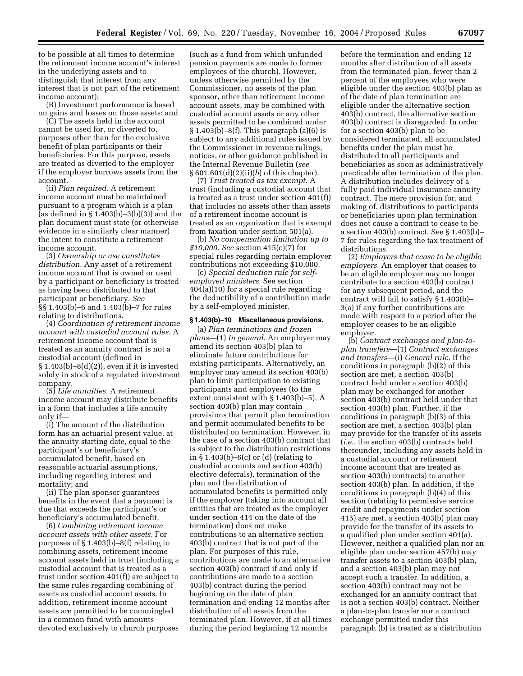to be possible at all times to determine the retirement income account's interest in the underlying assets and to distinguish that interest from any interest that is not part of the retirement income account);

(B) Investment performance is based on gains and losses on those assets; and

(C) The assets held in the account cannot be used for, or diverted to, purposes other than for the exclusive benefit of plan participants or their beneficiaries. For this purpose, assets are treated as diverted to the employer if the employer borrows assets from the account.

(ii) *Plan required.* A retirement income account must be maintained pursuant to a program which is a plan (as defined in  $\S 1.403(b) - 3(b)(3)$ ) and the plan document must state (or otherwise evidence in a similarly clear manner) the intent to constitute a retirement income account.

(3) *Ownership or use constitutes distribution.* Any asset of a retirement income account that is owned or used by a participant or beneficiary is treated as having been distributed to that participant or beneficiary. *See* §§ 1.403(b)–6 and 1.403(b)–7 for rules relating to distributions.

(4) *Coordination of retirement income account with custodial account rules.* A retirement income account that is treated as an annuity contract is not a custodial account (defined in § 1.403(b)–8(d)(2)), even if it is invested solely in stock of a regulated investment company.

(5) *Life annuities.* A retirement income account may distribute benefits in a form that includes a life annuity only if—

(i) The amount of the distribution form has an actuarial present value, at the annuity starting date, equal to the participant's or beneficiary's accumulated benefit, based on reasonable actuarial assumptions, including regarding interest and mortality; and

(ii) The plan sponsor guarantees benefits in the event that a payment is due that exceeds the participant's or beneficiary's accumulated benefit.

(6) *Combining retirement income account assets with other assets.* For purposes of § 1.403(b)–8(f) relating to combining assets, retirement income account assets held in trust (including a custodial account that is treated as a trust under section 401(f)) are subject to the same rules regarding combining of assets as custodial account assets. In addition, retirement income account assets are permitted to be commingled in a common fund with amounts devoted exclusively to church purposes

(such as a fund from which unfunded pension payments are made to former employees of the church). However, unless otherwise permitted by the Commissioner, no assets of the plan sponsor, other than retirement income account assets, may be combined with custodial account assets or any other assets permitted to be combined under  $§ 1.403(b) - 8(f).$  This paragraph  $(a)(6)$  is subject to any additional rules issued by the Commissioner in revenue rulings, notices, or other guidance published in the Internal Revenue Bulletin (*see* § 601.601(d)(2)(ii)(*b*) of this chapter).

(7) *Trust treated as tax exempt.* A trust (including a custodial account that is treated as a trust under section 401(f)) that includes no assets other than assets of a retirement income account is treated as an organization that is exempt from taxation under section 501(a).

(b) *No compensation limitation up to \$10,000. See* section 415(c)(7) for special rules regarding certain employer contributions not exceeding \$10,000.

(c) *Special deduction rule for selfemployed ministers.* See section 404(a)(10) for a special rule regarding the deductibility of a contribution made by a self-employed minister.

### **§ 1.403(b)–10 Miscellaneous provisions.**

(a) *Plan terminations and frozen plans*—(1) *In general.* An employer may amend its section 403(b) plan to eliminate future contributions for existing participants. Alternatively, an employer may amend its section 403(b) plan to limit participation to existing participants and employees (to the extent consistent with § 1.403(b)–5). A section 403(b) plan may contain provisions that permit plan termination and permit accumulated benefits to be distributed on termination. However, in the case of a section 403(b) contract that is subject to the distribution restrictions in § 1.403(b)–6(c) or (d) (relating to custodial accounts and section 403(b) elective deferrals), termination of the plan and the distribution of accumulated benefits is permitted only if the employer (taking into account all entities that are treated as the employer under section 414 on the date of the termination) does not make contributions to an alternative section 403(b) contract that is not part of the plan. For purposes of this rule, contributions are made to an alternative section 403(b) contract if and only if contributions are made to a section 403(b) contract during the period beginning on the date of plan termination and ending 12 months after distribution of all assets from the terminated plan. However, if at all times during the period beginning 12 months

before the termination and ending 12 months after distribution of all assets from the terminated plan, fewer than 2 percent of the employees who were eligible under the section 403(b) plan as of the date of plan termination are eligible under the alternative section 403(b) contract, the alternative section 403(b) contract is disregarded. In order for a section 403(b) plan to be considered terminated, all accumulated benefits under the plan must be distributed to all participants and beneficiaries as soon as administratively practicable after termination of the plan. A distribution includes delivery of a fully paid individual insurance annuity contract. The mere provision for, and making of, distributions to participants or beneficiaries upon plan termination does not cause a contract to cease to be a section 403(b) contract. See § 1.403(b)– 7 for rules regarding the tax treatment of distributions.

(2) *Employers that cease to be eligible employers.* An employer that ceases to be an eligible employer may no longer contribute to a section 403(b) contract for any subsequent period, and the contract will fail to satisfy § 1.403(b)– 3(a) if any further contributions are made with respect to a period after the employer ceases to be an eligible employer.

(b) *Contract exchanges and plan-toplan transfers*—(1) *Contract exchanges and transfers*—(i) *General rule*. If the conditions in paragraph (b)(2) of this section are met, a section 403(b) contract held under a section 403(b) plan may be exchanged for another section 403(b) contract held under that section 403(b) plan. Further, if the conditions in paragraph (b)(3) of this section are met, a section 403(b) plan may provide for the transfer of its assets (*i.e.*, the section 403(b) contracts held thereunder, including any assets held in a custodial account or retirement income account that are treated as section 403(b) contracts) to another section 403(b) plan. In addition, if the conditions in paragraph (b)(4) of this section (relating to permissive service credit and repayments under section 415) are met, a section 403(b) plan may provide for the transfer of its assets to a qualified plan under section 401(a). However, neither a qualified plan nor an eligible plan under section 457(b) may transfer assets to a section 403(b) plan, and a section 403(b) plan may not accept such a transfer. In addition, a section 403(b) contract may not be exchanged for an annuity contract that is not a section 403(b) contract. Neither a plan-to-plan transfer nor a contract exchange permitted under this paragraph (b) is treated as a distribution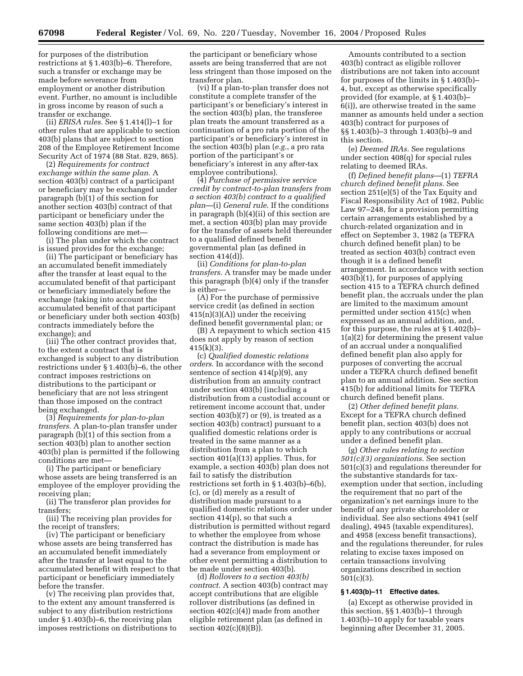for purposes of the distribution restrictions at § 1.403(b)–6. Therefore, such a transfer or exchange may be made before severance from employment or another distribution event. Further, no amount is includible in gross income by reason of such a transfer or exchange.

(ii) *ERISA rules.* See § 1.414(l)–1 for other rules that are applicable to section 403(b) plans that are subject to section 208 of the Employee Retirement Income Security Act of 1974 (88 Stat. 829, 865).

(2) *Requirements for contract exchange within the same plan.* A section 403(b) contract of a participant or beneficiary may be exchanged under paragraph (b)(1) of this section for another section 403(b) contract of that participant or beneficiary under the same section 403(b) plan if the following conditions are met—

(i) The plan under which the contract is issued provides for the exchange;

(ii) The participant or beneficiary has an accumulated benefit immediately after the transfer at least equal to the accumulated benefit of that participant or beneficiary immediately before the exchange (taking into account the accumulated benefit of that participant or beneficiary under both section 403(b) contracts immediately before the exchange); and

(iii) The other contract provides that, to the extent a contract that is exchanged is subject to any distribution restrictions under § 1.403(b)–6, the other contract imposes restrictions on distributions to the participant or beneficiary that are not less stringent than those imposed on the contract being exchanged.

(3) *Requirements for plan-to-plan transfers.* A plan-to-plan transfer under paragraph (b)(1) of this section from a section 403(b) plan to another section 403(b) plan is permitted if the following conditions are met—

(i) The participant or beneficiary whose assets are being transferred is an employee of the employer providing the receiving plan;

(ii) The transferor plan provides for transfers;

(iii) The receiving plan provides for the receipt of transfers;

(iv) The participant or beneficiary whose assets are being transferred has an accumulated benefit immediately after the transfer at least equal to the accumulated benefit with respect to that participant or beneficiary immediately before the transfer.

(v) The receiving plan provides that, to the extent any amount transferred is subject to any distribution restrictions under § 1.403(b)–6, the receiving plan imposes restrictions on distributions to the participant or beneficiary whose assets are being transferred that are not less stringent than those imposed on the transferor plan.

(vi) If a plan-to-plan transfer does not constitute a complete transfer of the participant's or beneficiary's interest in the section 403(b) plan, the transferee plan treats the amount transferred as a continuation of a pro rata portion of the participant's or beneficiary's interest in the section 403(b) plan (*e.g.*, a pro rata portion of the participant's or beneficiary's interest in any after-tax employee contributions).

(4) *Purchase of permissive service credit by contract-to-plan transfers from a section 403(b) contract to a qualified plan*—(i) *General rule*. If the conditions in paragraph (b)(4)(ii) of this section are met, a section 403(b) plan may provide for the transfer of assets held thereunder to a qualified defined benefit governmental plan (as defined in section  $414(d)$ .

(ii) *Conditions for plan-to-plan transfers.* A transfer may be made under this paragraph (b)(4) only if the transfer is either—

(A) For the purchase of permissive service credit (as defined in section 415(n)(3)(A)) under the receiving defined benefit governmental plan; or

(B) A repayment to which section 415 does not apply by reason of section  $415(k)(3)$ .

(c) *Qualified domestic relations orders.* In accordance with the second sentence of section  $414(p)(9)$ , any distribution from an annuity contract under section 403(b) (including a distribution from a custodial account or retirement income account that, under section 403(b)(7) or (9), is treated as a section 403(b) contract) pursuant to a qualified domestic relations order is treated in the same manner as a distribution from a plan to which section 401(a)(13) applies. Thus, for example, a section 403(b) plan does not fail to satisfy the distribution restrictions set forth in § 1.403(b)–6(b), (c), or (d) merely as a result of distribution made pursuant to a qualified domestic relations order under section 414(p), so that such a distribution is permitted without regard to whether the employee from whose contract the distribution is made has had a severance from employment or other event permitting a distribution to be made under section 403(b).

(d) *Rollovers to a section 403(b) contract.* A section 403(b) contract may accept contributions that are eligible rollover distributions (as defined in section  $402(c)(4)$ ) made from another eligible retirement plan (as defined in section 402(c)(8)(B)).

Amounts contributed to a section 403(b) contract as eligible rollover distributions are not taken into account for purposes of the limits in § 1.403(b)– 4, but, except as otherwise specifically provided (for example, at § 1.403(b)– 6(i)), are otherwise treated in the same manner as amounts held under a section 403(b) contract for purposes of §§ 1.403(b)–3 through 1.403(b)–9 and this section.

(e) *Deemed IRAs.* See regulations under section 408(q) for special rules relating to deemed IRAs.

(f) *Defined benefit plans*—(1) *TEFRA church defined benefit plans.* See section 251(e)(5) of the Tax Equity and Fiscal Responsibility Act of 1982, Public Law 97–248, for a provision permitting certain arrangements established by a church-related organization and in effect on September 3, 1982 (a TEFRA church defined benefit plan) to be treated as section 403(b) contract even though it is a defined benefit arrangement. In accordance with section 403(b)(1), for purposes of applying section 415 to a TEFRA church defined benefit plan, the accruals under the plan are limited to the maximum amount permitted under section 415(c) when expressed as an annual addition, and, for this purpose, the rules at § 1.402(b)– 1(a)(2) for determining the present value of an accrual under a nonqualified defined benefit plan also apply for purposes of converting the accrual under a TEFRA church defined benefit plan to an annual addition. See section 415(b) for additional limits for TEFRA church defined benefit plans.

(2) *Other defined benefit plans.* Except for a TEFRA church defined benefit plan, section 403(b) does not apply to any contributions or accrual under a defined benefit plan.

(g) *Other rules relating to section 501(c)(3) organizations.* See section 501(c)(3) and regulations thereunder for the substantive standards for taxexemption under that section, including the requirement that no part of the organization's net earnings inure to the benefit of any private shareholder or individual. See also sections 4941 (self dealing), 4945 (taxable expenditures), and 4958 (excess benefit transactions), and the regulations thereunder, for rules relating to excise taxes imposed on certain transactions involving organizations described in section 501(c)(3).

### **§ 1.403(b)–11 Effective dates.**

(a) Except as otherwise provided in this section, §§ 1.403(b)–1 through 1.403(b)–10 apply for taxable years beginning after December 31, 2005.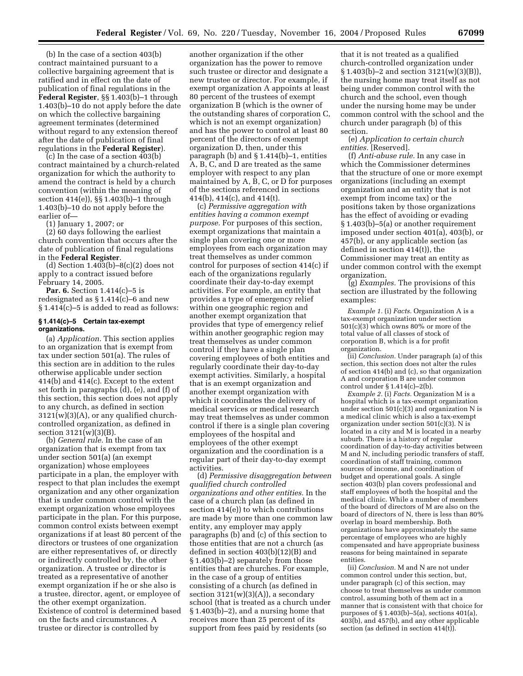(b) In the case of a section 403(b) contract maintained pursuant to a collective bargaining agreement that is ratified and in effect on the date of publication of final regulations in the **Federal Register**, §§ 1.403(b)–1 through 1.403(b)–10 do not apply before the date on which the collective bargaining agreement terminates (determined without regard to any extension thereof after the date of publication of final regulations in the **Federal Register**).

(c) In the case of a section 403(b) contract maintained by a church-related organization for which the authority to amend the contract is held by a church convention (within the meaning of section 414(e)), §§ 1.403(b)–1 through 1.403(b)–10 do not apply before the earlier of—

(1) January 1, 2007; or

(2) 60 days following the earliest church convention that occurs after the date of publication of final regulations in the **Federal Register**.

(d) Section  $1.403(b)-8(c)(2)$  does not apply to a contract issued before February 14, 2005.

**Par. 6.** Section 1.414(c)–5 is redesignated as § 1.414(c)–6 and new § 1.414(c)–5 is added to read as follows:

#### **§ 1.414(c)–5 Certain tax-exempt organizations.**

(a) *Application.* This section applies to an organization that is exempt from tax under section 501(a). The rules of this section are in addition to the rules otherwise applicable under section 414(b) and 414(c). Except to the extent set forth in paragraphs (d), (e), and (f) of this section, this section does not apply to any church, as defined in section 3121(w)(3)(A), or any qualified churchcontrolled organization, as defined in section 3121(w)(3)(B).

(b) *General rule.* In the case of an organization that is exempt from tax under section 501(a) (an exempt organization) whose employees participate in a plan, the employer with respect to that plan includes the exempt organization and any other organization that is under common control with the exempt organization whose employees participate in the plan. For this purpose, common control exists between exempt organizations if at least 80 percent of the directors or trustees of one organization are either representatives of, or directly or indirectly controlled by, the other organization. A trustee or director is treated as a representative of another exempt organization if he or she also is a trustee, director, agent, or employee of the other exempt organization. Existence of control is determined based on the facts and circumstances. A trustee or director is controlled by

another organization if the other organization has the power to remove such trustee or director and designate a new trustee or director. For example, if exempt organization A appoints at least 80 percent of the trustees of exempt organization B (which is the owner of the outstanding shares of corporation C, which is not an exempt organization) and has the power to control at least 80 percent of the directors of exempt organization D, then, under this paragraph (b) and § 1.414(b)–1, entities A, B, C, and D are treated as the same employer with respect to any plan maintained by A, B, C, or D for purposes of the sections referenced in sections 414(b), 414(c), and 414(t).

(c) *Permissive aggregation with entities having a common exempt purpose.* For purposes of this section, exempt organizations that maintain a single plan covering one or more employees from each organization may treat themselves as under common control for purposes of section 414(c) if each of the organizations regularly coordinate their day-to-day exempt activities. For example, an entity that provides a type of emergency relief within one geographic region and another exempt organization that provides that type of emergency relief within another geographic region may treat themselves as under common control if they have a single plan covering employees of both entities and regularly coordinate their day-to-day exempt activities. Similarly, a hospital that is an exempt organization and another exempt organization with which it coordinates the delivery of medical services or medical research may treat themselves as under common control if there is a single plan covering employees of the hospital and employees of the other exempt organization and the coordination is a regular part of their day-to-day exempt activities.

(d) *Permissive disaggregation between qualified church controlled organizations and other entities.* In the case of a church plan (as defined in section 414(e)) to which contributions are made by more than one common law entity, any employer may apply paragraphs (b) and (c) of this section to those entities that are not a church (as defined in section 403(b)(12)(B) and § 1.403(b)–2) separately from those entities that are churches. For example, in the case of a group of entities consisting of a church (as defined in section  $3121(w)(3)(A)$ , a secondary school (that is treated as a church under § 1.403(b)–2), and a nursing home that receives more than 25 percent of its support from fees paid by residents (so

that it is not treated as a qualified church-controlled organization under  $§ 1.403(b)-2$  and section  $3121(w)(3)(B)$ , the nursing home may treat itself as not being under common control with the church and the school, even though under the nursing home may be under common control with the school and the church under paragraph (b) of this section.

(e) *Application to certain church entities.* [Reserved].

(f) *Anti-abuse rule.* In any case in which the Commissioner determines that the structure of one or more exempt organizations (including an exempt organization and an entity that is not exempt from income tax) or the positions taken by those organizations has the effect of avoiding or evading § 1.403(b)–5(a) or another requirement imposed under section 401(a), 403(b), or 457(b), or any applicable section (as defined in section 414(t)), the Commissioner may treat an entity as under common control with the exempt organization.

(g) *Examples.* The provisions of this section are illustrated by the following examples:

*Example 1.* (i) *Facts.* Organization A is a tax-exempt organization under section 501(c)(3) which owns 80% or more of the total value of all classes of stock of corporation B, which is a for profit organization.

(ii) *Conclusion.* Under paragraph (a) of this section, this section does not alter the rules of section 414(b) and (c), so that organization A and corporation B are under common control under § 1.414(c)–2(b).

*Example 2.* (i) *Facts.* Organization M is a hospital which is a tax-exempt organization under section  $501(c)(3)$  and organization N is a medical clinic which is also a tax-exempt organization under section 501(c)(3). N is located in a city and M is located in a nearby suburb. There is a history of regular coordination of day-to-day activities between M and N, including periodic transfers of staff, coordination of staff training, common sources of income, and coordination of budget and operational goals. A single section 403(b) plan covers professional and staff employees of both the hospital and the medical clinic. While a number of members of the board of directors of M are also on the board of directors of N, there is less than 80% overlap in board membership. Both organizations have approximately the same percentage of employees who are highly compensated and have appropriate business reasons for being maintained in separate entities.

(ii) *Conclusion.* M and N are not under common control under this section, but, under paragraph (c) of this section, may choose to treat themselves as under common control, assuming both of them act in a manner that is consistent with that choice for purposes of § 1.403(b)–5(a), sections 401(a), 403(b), and 457(b), and any other applicable section (as defined in section  $414(t)$ ).